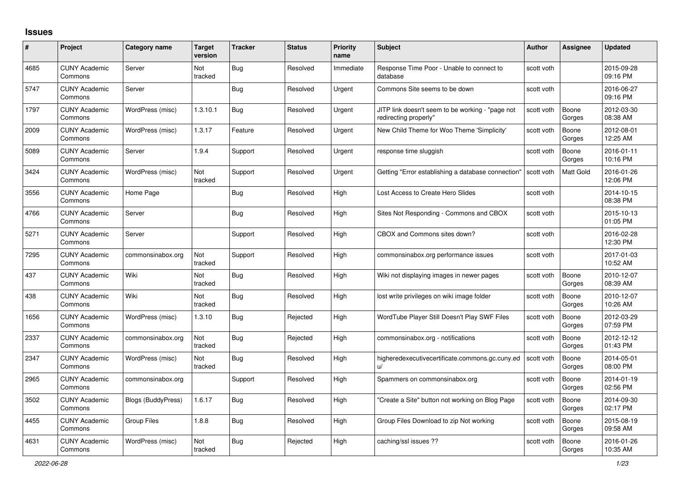## **Issues**

| #    | Project                         | Category name      | <b>Target</b><br>version | <b>Tracker</b> | <b>Status</b> | <b>Priority</b><br>name | <b>Subject</b>                                                            | <b>Author</b> | <b>Assignee</b> | <b>Updated</b>         |
|------|---------------------------------|--------------------|--------------------------|----------------|---------------|-------------------------|---------------------------------------------------------------------------|---------------|-----------------|------------------------|
| 4685 | <b>CUNY Academic</b><br>Commons | Server             | <b>Not</b><br>tracked    | <b>Bug</b>     | Resolved      | Immediate               | Response Time Poor - Unable to connect to<br>database                     | scott voth    |                 | 2015-09-28<br>09:16 PM |
| 5747 | <b>CUNY Academic</b><br>Commons | Server             |                          | <b>Bug</b>     | Resolved      | Urgent                  | Commons Site seems to be down                                             | scott voth    |                 | 2016-06-27<br>09:16 PM |
| 1797 | <b>CUNY Academic</b><br>Commons | WordPress (misc)   | 1.3.10.1                 | <b>Bug</b>     | Resolved      | Urgent                  | JITP link doesn't seem to be working - "page not<br>redirecting properly" | scott voth    | Boone<br>Gorges | 2012-03-30<br>08:38 AM |
| 2009 | <b>CUNY Academic</b><br>Commons | WordPress (misc)   | 1.3.17                   | Feature        | Resolved      | Urgent                  | New Child Theme for Woo Theme 'Simplicity'                                | scott voth    | Boone<br>Gorges | 2012-08-01<br>12:25 AM |
| 5089 | <b>CUNY Academic</b><br>Commons | Server             | 1.9.4                    | Support        | Resolved      | Urgent                  | response time sluggish                                                    | scott voth    | Boone<br>Gorges | 2016-01-11<br>10:16 PM |
| 3424 | <b>CUNY Academic</b><br>Commons | WordPress (misc)   | Not<br>tracked           | Support        | Resolved      | Urgent                  | Getting "Error establishing a database connection"                        | scott voth    | Matt Gold       | 2016-01-26<br>12:06 PM |
| 3556 | <b>CUNY Academic</b><br>Commons | Home Page          |                          | <b>Bug</b>     | Resolved      | High                    | Lost Access to Create Hero Slides                                         | scott voth    |                 | 2014-10-15<br>08:38 PM |
| 4766 | <b>CUNY Academic</b><br>Commons | Server             |                          | Bug            | Resolved      | High                    | Sites Not Responding - Commons and CBOX                                   | scott voth    |                 | 2015-10-13<br>01:05 PM |
| 5271 | <b>CUNY Academic</b><br>Commons | Server             |                          | Support        | Resolved      | High                    | CBOX and Commons sites down?                                              | scott voth    |                 | 2016-02-28<br>12:30 PM |
| 7295 | <b>CUNY Academic</b><br>Commons | commonsinabox.org  | Not<br>tracked           | Support        | Resolved      | High                    | commonsinabox.org performance issues                                      | scott voth    |                 | 2017-01-03<br>10:52 AM |
| 437  | <b>CUNY Academic</b><br>Commons | Wiki               | Not<br>tracked           | <b>Bug</b>     | Resolved      | High                    | Wiki not displaying images in newer pages                                 | scott voth    | Boone<br>Gorges | 2010-12-07<br>08:39 AM |
| 438  | <b>CUNY Academic</b><br>Commons | Wiki               | Not<br>tracked           | <b>Bug</b>     | Resolved      | High                    | lost write privileges on wiki image folder                                | scott voth    | Boone<br>Gorges | 2010-12-07<br>10:26 AM |
| 1656 | <b>CUNY Academic</b><br>Commons | WordPress (misc)   | 1.3.10                   | Bug            | Rejected      | High                    | WordTube Player Still Doesn't Play SWF Files                              | scott voth    | Boone<br>Gorges | 2012-03-29<br>07:59 PM |
| 2337 | <b>CUNY Academic</b><br>Commons | commonsinabox.org  | Not<br>tracked           | <b>Bug</b>     | Rejected      | High                    | commonsinabox.org - notifications                                         | scott voth    | Boone<br>Gorges | 2012-12-12<br>01:43 PM |
| 2347 | <b>CUNY Academic</b><br>Commons | WordPress (misc)   | Not<br>tracked           | <b>Bug</b>     | Resolved      | High                    | higheredexecutivecertificate.commons.gc.cuny.ed                           | scott voth    | Boone<br>Gorges | 2014-05-01<br>08:00 PM |
| 2965 | <b>CUNY Academic</b><br>Commons | commonsinabox.org  |                          | Support        | Resolved      | High                    | Spammers on commonsinabox.org                                             | scott voth    | Boone<br>Gorges | 2014-01-19<br>02:56 PM |
| 3502 | <b>CUNY Academic</b><br>Commons | Blogs (BuddyPress) | 1.6.17                   | Bug            | Resolved      | High                    | "Create a Site" button not working on Blog Page                           | scott voth    | Boone<br>Gorges | 2014-09-30<br>02:17 PM |
| 4455 | <b>CUNY Academic</b><br>Commons | <b>Group Files</b> | 1.8.8                    | Bug            | Resolved      | High                    | Group Files Download to zip Not working                                   | scott voth    | Boone<br>Gorges | 2015-08-19<br>09:58 AM |
| 4631 | <b>CUNY Academic</b><br>Commons | WordPress (misc)   | Not<br>tracked           | <b>Bug</b>     | Rejected      | High                    | caching/ssl issues ??                                                     | scott voth    | Boone<br>Gorges | 2016-01-26<br>10:35 AM |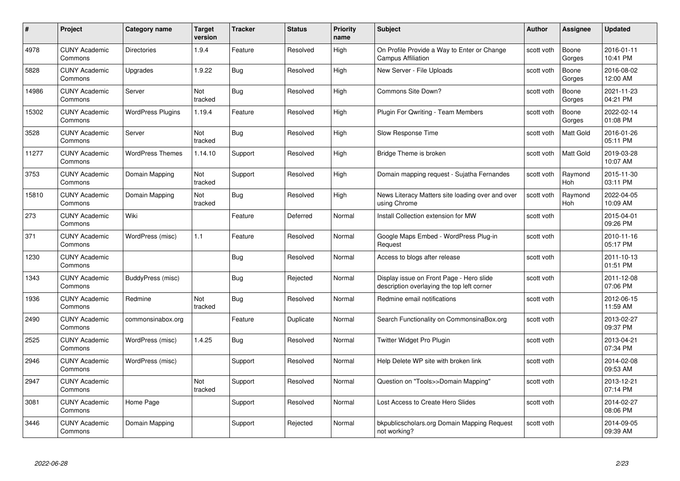| #     | Project                         | <b>Category name</b>     | Target<br>version | <b>Tracker</b> | <b>Status</b> | <b>Priority</b><br>name | <b>Subject</b>                                                                         | <b>Author</b> | <b>Assignee</b>       | <b>Updated</b>         |
|-------|---------------------------------|--------------------------|-------------------|----------------|---------------|-------------------------|----------------------------------------------------------------------------------------|---------------|-----------------------|------------------------|
| 4978  | <b>CUNY Academic</b><br>Commons | <b>Directories</b>       | 1.9.4             | Feature        | Resolved      | High                    | On Profile Provide a Way to Enter or Change<br><b>Campus Affiliation</b>               | scott voth    | Boone<br>Gorges       | 2016-01-11<br>10:41 PM |
| 5828  | <b>CUNY Academic</b><br>Commons | Upgrades                 | 1.9.22            | Bug            | Resolved      | High                    | New Server - File Uploads                                                              | scott voth    | Boone<br>Gorges       | 2016-08-02<br>12:00 AM |
| 14986 | <b>CUNY Academic</b><br>Commons | Server                   | Not<br>tracked    | <b>Bug</b>     | Resolved      | High                    | Commons Site Down?                                                                     | scott voth    | Boone<br>Gorges       | 2021-11-23<br>04:21 PM |
| 15302 | <b>CUNY Academic</b><br>Commons | <b>WordPress Plugins</b> | 1.19.4            | Feature        | Resolved      | High                    | Plugin For Qwriting - Team Members                                                     | scott voth    | Boone<br>Gorges       | 2022-02-14<br>01:08 PM |
| 3528  | <b>CUNY Academic</b><br>Commons | Server                   | Not<br>tracked    | <b>Bug</b>     | Resolved      | High                    | Slow Response Time                                                                     | scott voth    | <b>Matt Gold</b>      | 2016-01-26<br>05:11 PM |
| 11277 | <b>CUNY Academic</b><br>Commons | <b>WordPress Themes</b>  | 1.14.10           | Support        | Resolved      | High                    | Bridge Theme is broken                                                                 | scott voth    | Matt Gold             | 2019-03-28<br>10:07 AM |
| 3753  | <b>CUNY Academic</b><br>Commons | Domain Mapping           | Not<br>tracked    | Support        | Resolved      | High                    | Domain mapping request - Sujatha Fernandes                                             | scott voth    | Raymond<br>Hoh        | 2015-11-30<br>03:11 PM |
| 15810 | <b>CUNY Academic</b><br>Commons | Domain Mapping           | Not<br>tracked    | <b>Bug</b>     | Resolved      | High                    | News Literacy Matters site loading over and over<br>using Chrome                       | scott voth    | Raymond<br><b>Hoh</b> | 2022-04-05<br>10:09 AM |
| 273   | <b>CUNY Academic</b><br>Commons | Wiki                     |                   | Feature        | Deferred      | Normal                  | Install Collection extension for MW                                                    | scott voth    |                       | 2015-04-01<br>09:26 PM |
| 371   | <b>CUNY Academic</b><br>Commons | WordPress (misc)         | 1.1               | Feature        | Resolved      | Normal                  | Google Maps Embed - WordPress Plug-in<br>Request                                       | scott voth    |                       | 2010-11-16<br>05:17 PM |
| 1230  | CUNY Academic<br>Commons        |                          |                   | Bug            | Resolved      | Normal                  | Access to blogs after release                                                          | scott voth    |                       | 2011-10-13<br>01:51 PM |
| 1343  | <b>CUNY Academic</b><br>Commons | BuddyPress (misc)        |                   | Bug            | Rejected      | Normal                  | Display issue on Front Page - Hero slide<br>description overlaying the top left corner | scott voth    |                       | 2011-12-08<br>07:06 PM |
| 1936  | <b>CUNY Academic</b><br>Commons | Redmine                  | Not<br>tracked    | Bug            | Resolved      | Normal                  | Redmine email notifications                                                            | scott voth    |                       | 2012-06-15<br>11:59 AM |
| 2490  | <b>CUNY Academic</b><br>Commons | commonsinabox.org        |                   | Feature        | Duplicate     | Normal                  | Search Functionality on CommonsinaBox.org                                              | scott voth    |                       | 2013-02-27<br>09:37 PM |
| 2525  | <b>CUNY Academic</b><br>Commons | WordPress (misc)         | 1.4.25            | <b>Bug</b>     | Resolved      | Normal                  | Twitter Widget Pro Plugin                                                              | scott voth    |                       | 2013-04-21<br>07:34 PM |
| 2946  | <b>CUNY Academic</b><br>Commons | WordPress (misc)         |                   | Support        | Resolved      | Normal                  | Help Delete WP site with broken link                                                   | scott voth    |                       | 2014-02-08<br>09:53 AM |
| 2947  | <b>CUNY Academic</b><br>Commons |                          | Not<br>tracked    | Support        | Resolved      | Normal                  | Question on "Tools>>Domain Mapping"                                                    | scott voth    |                       | 2013-12-21<br>07:14 PM |
| 3081  | <b>CUNY Academic</b><br>Commons | Home Page                |                   | Support        | Resolved      | Normal                  | Lost Access to Create Hero Slides                                                      | scott voth    |                       | 2014-02-27<br>08:06 PM |
| 3446  | CUNY Academic<br>Commons        | Domain Mapping           |                   | Support        | Rejected      | Normal                  | bkpublicscholars.org Domain Mapping Request<br>not working?                            | scott voth    |                       | 2014-09-05<br>09:39 AM |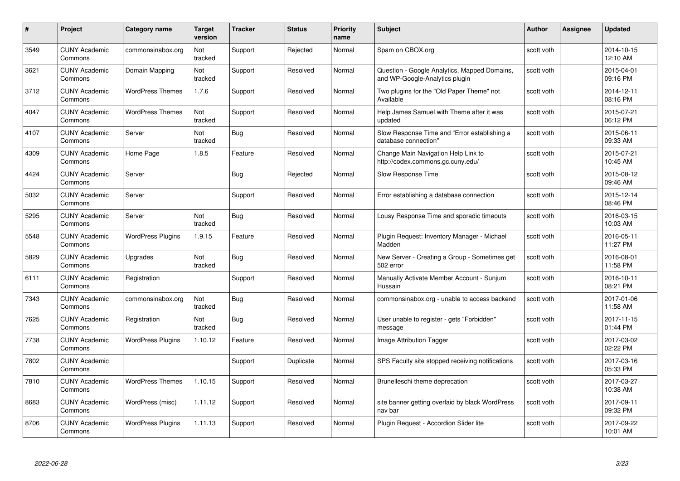| #    | Project                         | Category name            | <b>Target</b><br>version | <b>Tracker</b> | <b>Status</b> | <b>Priority</b><br>name | <b>Subject</b>                                                                 | <b>Author</b> | <b>Assignee</b> | <b>Updated</b>         |
|------|---------------------------------|--------------------------|--------------------------|----------------|---------------|-------------------------|--------------------------------------------------------------------------------|---------------|-----------------|------------------------|
| 3549 | <b>CUNY Academic</b><br>Commons | commonsinabox.org        | Not<br>tracked           | Support        | Rejected      | Normal                  | Spam on CBOX.org                                                               | scott voth    |                 | 2014-10-15<br>12:10 AM |
| 3621 | <b>CUNY Academic</b><br>Commons | Domain Mapping           | Not<br>tracked           | Support        | Resolved      | Normal                  | Question - Google Analytics, Mapped Domains,<br>and WP-Google-Analytics plugin | scott voth    |                 | 2015-04-01<br>09:16 PM |
| 3712 | <b>CUNY Academic</b><br>Commons | <b>WordPress Themes</b>  | 1.7.6                    | Support        | Resolved      | Normal                  | Two plugins for the "Old Paper Theme" not<br>Available                         | scott voth    |                 | 2014-12-11<br>08:16 PM |
| 4047 | <b>CUNY Academic</b><br>Commons | <b>WordPress Themes</b>  | Not<br>tracked           | Support        | Resolved      | Normal                  | Help James Samuel with Theme after it was<br>updated                           | scott voth    |                 | 2015-07-21<br>06:12 PM |
| 4107 | <b>CUNY Academic</b><br>Commons | Server                   | Not<br>tracked           | Bug            | Resolved      | Normal                  | Slow Response Time and "Error establishing a<br>database connection"           | scott voth    |                 | 2015-06-11<br>09:33 AM |
| 4309 | <b>CUNY Academic</b><br>Commons | Home Page                | 1.8.5                    | Feature        | Resolved      | Normal                  | Change Main Navigation Help Link to<br>http://codex.commons.gc.cuny.edu/       | scott voth    |                 | 2015-07-21<br>10:45 AM |
| 4424 | <b>CUNY Academic</b><br>Commons | Server                   |                          | Bug            | Rejected      | Normal                  | Slow Response Time                                                             | scott voth    |                 | 2015-08-12<br>09:46 AM |
| 5032 | <b>CUNY Academic</b><br>Commons | Server                   |                          | Support        | Resolved      | Normal                  | Error establishing a database connection                                       | scott voth    |                 | 2015-12-14<br>08:46 PM |
| 5295 | <b>CUNY Academic</b><br>Commons | Server                   | <b>Not</b><br>tracked    | Bug            | Resolved      | Normal                  | Lousy Response Time and sporadic timeouts                                      | scott voth    |                 | 2016-03-15<br>10:03 AM |
| 5548 | <b>CUNY Academic</b><br>Commons | <b>WordPress Plugins</b> | 1.9.15                   | Feature        | Resolved      | Normal                  | Plugin Request: Inventory Manager - Michael<br>Madden                          | scott voth    |                 | 2016-05-11<br>11:27 PM |
| 5829 | <b>CUNY Academic</b><br>Commons | Upgrades                 | Not<br>tracked           | Bug            | Resolved      | Normal                  | New Server - Creating a Group - Sometimes get<br>502 error                     | scott voth    |                 | 2016-08-01<br>11:58 PM |
| 6111 | <b>CUNY Academic</b><br>Commons | Registration             |                          | Support        | Resolved      | Normal                  | Manually Activate Member Account - Sunjum<br>Hussain                           | scott voth    |                 | 2016-10-11<br>08:21 PM |
| 7343 | <b>CUNY Academic</b><br>Commons | commonsinabox.org        | Not<br>tracked           | <b>Bug</b>     | Resolved      | Normal                  | commonsinabox.org - unable to access backend                                   | scott voth    |                 | 2017-01-06<br>11:58 AM |
| 7625 | <b>CUNY Academic</b><br>Commons | Registration             | Not<br>tracked           | <b>Bug</b>     | Resolved      | Normal                  | User unable to register - gets "Forbidden"<br>message                          | scott voth    |                 | 2017-11-15<br>01:44 PM |
| 7738 | <b>CUNY Academic</b><br>Commons | <b>WordPress Plugins</b> | 1.10.12                  | Feature        | Resolved      | Normal                  | Image Attribution Tagger                                                       | scott voth    |                 | 2017-03-02<br>02:22 PM |
| 7802 | <b>CUNY Academic</b><br>Commons |                          |                          | Support        | Duplicate     | Normal                  | SPS Faculty site stopped receiving notifications                               | scott voth    |                 | 2017-03-16<br>05:33 PM |
| 7810 | <b>CUNY Academic</b><br>Commons | <b>WordPress Themes</b>  | 1.10.15                  | Support        | Resolved      | Normal                  | Brunelleschi theme deprecation                                                 | scott voth    |                 | 2017-03-27<br>10:38 AM |
| 8683 | <b>CUNY Academic</b><br>Commons | WordPress (misc)         | 1.11.12                  | Support        | Resolved      | Normal                  | site banner getting overlaid by black WordPress<br>nav bar                     | scott voth    |                 | 2017-09-11<br>09:32 PM |
| 8706 | <b>CUNY Academic</b><br>Commons | <b>WordPress Plugins</b> | 1.11.13                  | Support        | Resolved      | Normal                  | Plugin Reguest - Accordion Slider lite                                         | scott voth    |                 | 2017-09-22<br>10:01 AM |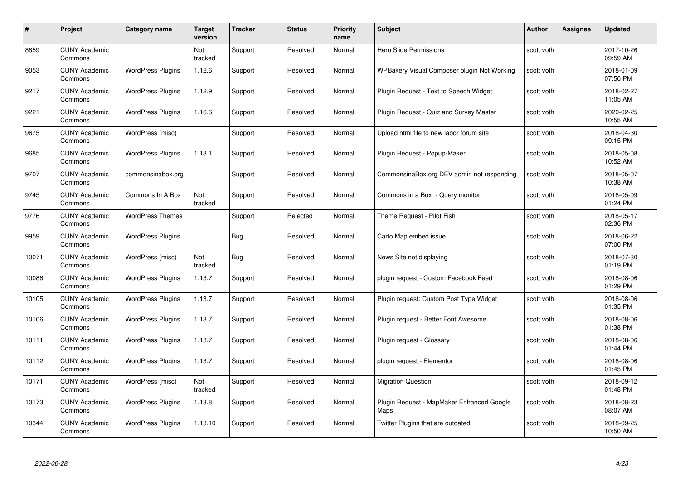| #     | Project                         | Category name            | <b>Target</b><br>version | <b>Tracker</b> | <b>Status</b> | <b>Priority</b><br>name | <b>Subject</b>                                    | <b>Author</b> | <b>Assignee</b> | <b>Updated</b>         |
|-------|---------------------------------|--------------------------|--------------------------|----------------|---------------|-------------------------|---------------------------------------------------|---------------|-----------------|------------------------|
| 8859  | <b>CUNY Academic</b><br>Commons |                          | <b>Not</b><br>tracked    | Support        | Resolved      | Normal                  | <b>Hero Slide Permissions</b>                     | scott voth    |                 | 2017-10-26<br>09:59 AM |
| 9053  | <b>CUNY Academic</b><br>Commons | <b>WordPress Plugins</b> | 1.12.6                   | Support        | Resolved      | Normal                  | WPBakery Visual Composer plugin Not Working       | scott voth    |                 | 2018-01-09<br>07:50 PM |
| 9217  | <b>CUNY Academic</b><br>Commons | <b>WordPress Plugins</b> | 1.12.9                   | Support        | Resolved      | Normal                  | Plugin Request - Text to Speech Widget            | scott voth    |                 | 2018-02-27<br>11:05 AM |
| 9221  | <b>CUNY Academic</b><br>Commons | <b>WordPress Plugins</b> | 1.16.6                   | Support        | Resolved      | Normal                  | Plugin Request - Quiz and Survey Master           | scott voth    |                 | 2020-02-25<br>10:55 AM |
| 9675  | <b>CUNY Academic</b><br>Commons | WordPress (misc)         |                          | Support        | Resolved      | Normal                  | Upload html file to new labor forum site          | scott voth    |                 | 2018-04-30<br>09:15 PM |
| 9685  | <b>CUNY Academic</b><br>Commons | <b>WordPress Plugins</b> | 1.13.1                   | Support        | Resolved      | Normal                  | Plugin Request - Popup-Maker                      | scott voth    |                 | 2018-05-08<br>10:52 AM |
| 9707  | <b>CUNY Academic</b><br>Commons | commonsinabox.org        |                          | Support        | Resolved      | Normal                  | CommonsinaBox.org DEV admin not responding        | scott voth    |                 | 2018-05-07<br>10:38 AM |
| 9745  | <b>CUNY Academic</b><br>Commons | Commons In A Box         | Not<br>tracked           | Support        | Resolved      | Normal                  | Commons in a Box - Query monitor                  | scott voth    |                 | 2018-05-09<br>01:24 PM |
| 9776  | <b>CUNY Academic</b><br>Commons | <b>WordPress Themes</b>  |                          | Support        | Rejected      | Normal                  | Theme Request - Pilot Fish                        | scott voth    |                 | 2018-05-17<br>02:36 PM |
| 9959  | <b>CUNY Academic</b><br>Commons | <b>WordPress Plugins</b> |                          | Bug            | Resolved      | Normal                  | Carto Map embed issue                             | scott voth    |                 | 2018-06-22<br>07:00 PM |
| 10071 | <b>CUNY Academic</b><br>Commons | WordPress (misc)         | Not<br>tracked           | <b>Bug</b>     | Resolved      | Normal                  | News Site not displaying                          | scott voth    |                 | 2018-07-30<br>01:19 PM |
| 10086 | <b>CUNY Academic</b><br>Commons | <b>WordPress Plugins</b> | 1.13.7                   | Support        | Resolved      | Normal                  | plugin request - Custom Facebook Feed             | scott voth    |                 | 2018-08-06<br>01:29 PM |
| 10105 | <b>CUNY Academic</b><br>Commons | <b>WordPress Plugins</b> | 1.13.7                   | Support        | Resolved      | Normal                  | Plugin request: Custom Post Type Widget           | scott voth    |                 | 2018-08-06<br>01:35 PM |
| 10106 | <b>CUNY Academic</b><br>Commons | <b>WordPress Plugins</b> | 1.13.7                   | Support        | Resolved      | Normal                  | Plugin request - Better Font Awesome              | scott voth    |                 | 2018-08-06<br>01:38 PM |
| 10111 | <b>CUNY Academic</b><br>Commons | <b>WordPress Plugins</b> | 1.13.7                   | Support        | Resolved      | Normal                  | Plugin request - Glossary                         | scott voth    |                 | 2018-08-06<br>01:44 PM |
| 10112 | <b>CUNY Academic</b><br>Commons | <b>WordPress Plugins</b> | 1.13.7                   | Support        | Resolved      | Normal                  | plugin request - Elementor                        | scott voth    |                 | 2018-08-06<br>01:45 PM |
| 10171 | <b>CUNY Academic</b><br>Commons | WordPress (misc)         | Not<br>tracked           | Support        | Resolved      | Normal                  | <b>Migration Question</b>                         | scott voth    |                 | 2018-09-12<br>01:48 PM |
| 10173 | <b>CUNY Academic</b><br>Commons | <b>WordPress Plugins</b> | 1.13.8                   | Support        | Resolved      | Normal                  | Plugin Reguest - MapMaker Enhanced Google<br>Maps | scott voth    |                 | 2018-08-23<br>08:07 AM |
| 10344 | <b>CUNY Academic</b><br>Commons | <b>WordPress Plugins</b> | 1.13.10                  | Support        | Resolved      | Normal                  | Twitter Plugins that are outdated                 | scott voth    |                 | 2018-09-25<br>10:50 AM |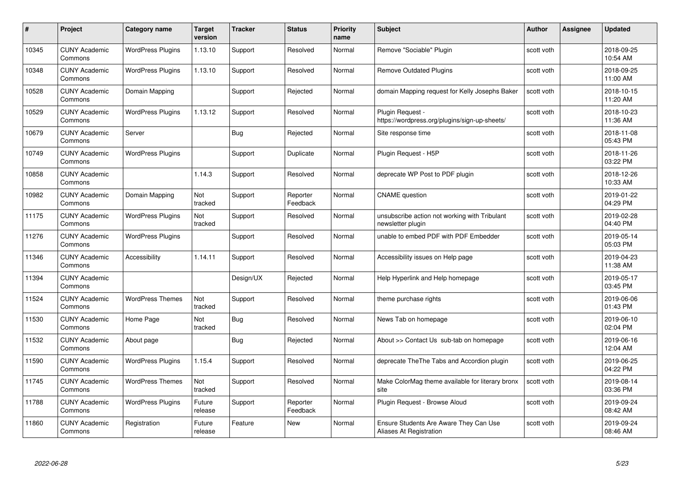| #     | Project                         | <b>Category name</b>     | Target<br>version | <b>Tracker</b> | <b>Status</b>        | <b>Priority</b><br>name | <b>Subject</b>                                                     | <b>Author</b> | <b>Assignee</b> | <b>Updated</b>         |
|-------|---------------------------------|--------------------------|-------------------|----------------|----------------------|-------------------------|--------------------------------------------------------------------|---------------|-----------------|------------------------|
| 10345 | <b>CUNY Academic</b><br>Commons | <b>WordPress Plugins</b> | 1.13.10           | Support        | Resolved             | Normal                  | Remove "Sociable" Plugin                                           | scott voth    |                 | 2018-09-25<br>10:54 AM |
| 10348 | <b>CUNY Academic</b><br>Commons | <b>WordPress Plugins</b> | 1.13.10           | Support        | Resolved             | Normal                  | <b>Remove Outdated Plugins</b>                                     | scott voth    |                 | 2018-09-25<br>11:00 AM |
| 10528 | <b>CUNY Academic</b><br>Commons | Domain Mapping           |                   | Support        | Rejected             | Normal                  | domain Mapping request for Kelly Josephs Baker                     | scott voth    |                 | 2018-10-15<br>11:20 AM |
| 10529 | <b>CUNY Academic</b><br>Commons | <b>WordPress Plugins</b> | 1.13.12           | Support        | Resolved             | Normal                  | Plugin Request -<br>https://wordpress.org/plugins/sign-up-sheets/  | scott voth    |                 | 2018-10-23<br>11:36 AM |
| 10679 | <b>CUNY Academic</b><br>Commons | Server                   |                   | Bug            | Rejected             | Normal                  | Site response time                                                 | scott voth    |                 | 2018-11-08<br>05:43 PM |
| 10749 | <b>CUNY Academic</b><br>Commons | <b>WordPress Plugins</b> |                   | Support        | Duplicate            | Normal                  | Plugin Request - H5P                                               | scott voth    |                 | 2018-11-26<br>03:22 PM |
| 10858 | <b>CUNY Academic</b><br>Commons |                          | 1.14.3            | Support        | Resolved             | Normal                  | deprecate WP Post to PDF plugin                                    | scott voth    |                 | 2018-12-26<br>10:33 AM |
| 10982 | <b>CUNY Academic</b><br>Commons | Domain Mapping           | Not<br>tracked    | Support        | Reporter<br>Feedback | Normal                  | <b>CNAME</b> question                                              | scott voth    |                 | 2019-01-22<br>04:29 PM |
| 11175 | <b>CUNY Academic</b><br>Commons | <b>WordPress Plugins</b> | Not<br>tracked    | Support        | Resolved             | Normal                  | unsubscribe action not working with Tribulant<br>newsletter plugin | scott voth    |                 | 2019-02-28<br>04:40 PM |
| 11276 | <b>CUNY Academic</b><br>Commons | <b>WordPress Plugins</b> |                   | Support        | Resolved             | Normal                  | unable to embed PDF with PDF Embedder                              | scott voth    |                 | 2019-05-14<br>05:03 PM |
| 11346 | <b>CUNY Academic</b><br>Commons | Accessibility            | 1.14.11           | Support        | Resolved             | Normal                  | Accessibility issues on Help page                                  | scott voth    |                 | 2019-04-23<br>11:38 AM |
| 11394 | <b>CUNY Academic</b><br>Commons |                          |                   | Design/UX      | Rejected             | Normal                  | Help Hyperlink and Help homepage                                   | scott voth    |                 | 2019-05-17<br>03:45 PM |
| 11524 | <b>CUNY Academic</b><br>Commons | <b>WordPress Themes</b>  | Not<br>tracked    | Support        | Resolved             | Normal                  | theme purchase rights                                              | scott voth    |                 | 2019-06-06<br>01:43 PM |
| 11530 | <b>CUNY Academic</b><br>Commons | Home Page                | Not<br>tracked    | <b>Bug</b>     | Resolved             | Normal                  | News Tab on homepage                                               | scott voth    |                 | 2019-06-10<br>02:04 PM |
| 11532 | <b>CUNY Academic</b><br>Commons | About page               |                   | Bug            | Rejected             | Normal                  | About >> Contact Us sub-tab on homepage                            | scott voth    |                 | 2019-06-16<br>12:04 AM |
| 11590 | <b>CUNY Academic</b><br>Commons | <b>WordPress Plugins</b> | 1.15.4            | Support        | Resolved             | Normal                  | deprecate The The Tabs and Accordion plugin                        | scott voth    |                 | 2019-06-25<br>04:22 PM |
| 11745 | <b>CUNY Academic</b><br>Commons | <b>WordPress Themes</b>  | Not<br>tracked    | Support        | Resolved             | Normal                  | Make ColorMag theme available for literary bronx<br>site           | scott voth    |                 | 2019-08-14<br>03:36 PM |
| 11788 | <b>CUNY Academic</b><br>Commons | <b>WordPress Plugins</b> | Future<br>release | Support        | Reporter<br>Feedback | Normal                  | Plugin Request - Browse Aloud                                      | scott voth    |                 | 2019-09-24<br>08:42 AM |
| 11860 | CUNY Academic<br>Commons        | Registration             | Future<br>release | Feature        | New                  | Normal                  | Ensure Students Are Aware They Can Use<br>Aliases At Registration  | scott voth    |                 | 2019-09-24<br>08:46 AM |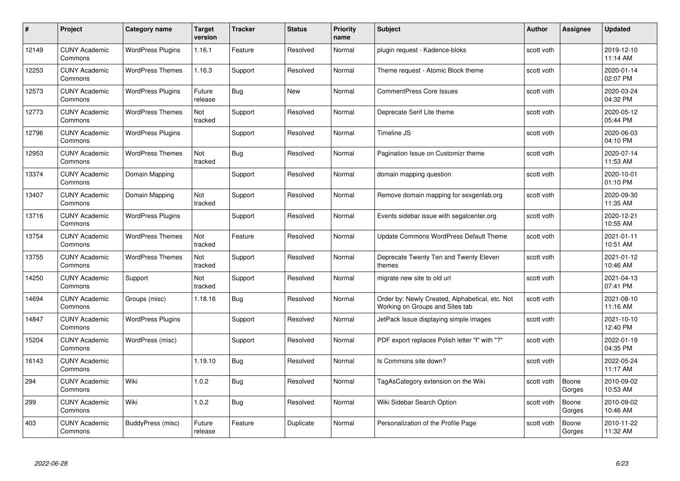| #     | Project                         | <b>Category name</b>     | Target<br>version | <b>Tracker</b> | <b>Status</b> | <b>Priority</b><br>name | <b>Subject</b>                                                                     | <b>Author</b> | <b>Assignee</b> | <b>Updated</b>         |
|-------|---------------------------------|--------------------------|-------------------|----------------|---------------|-------------------------|------------------------------------------------------------------------------------|---------------|-----------------|------------------------|
| 12149 | <b>CUNY Academic</b><br>Commons | <b>WordPress Plugins</b> | 1.16.1            | Feature        | Resolved      | Normal                  | plugin request - Kadence-bloks                                                     | scott voth    |                 | 2019-12-10<br>11:14 AM |
| 12253 | <b>CUNY Academic</b><br>Commons | <b>WordPress Themes</b>  | 1.16.3            | Support        | Resolved      | Normal                  | Theme request - Atomic Block theme                                                 | scott voth    |                 | 2020-01-14<br>02:07 PM |
| 12573 | <b>CUNY Academic</b><br>Commons | <b>WordPress Plugins</b> | Future<br>release | <b>Bug</b>     | <b>New</b>    | Normal                  | <b>CommentPress Core Issues</b>                                                    | scott voth    |                 | 2020-03-24<br>04:32 PM |
| 12773 | <b>CUNY Academic</b><br>Commons | <b>WordPress Themes</b>  | Not<br>tracked    | Support        | Resolved      | Normal                  | Deprecate Serif Lite theme                                                         | scott voth    |                 | 2020-05-12<br>05:44 PM |
| 12796 | <b>CUNY Academic</b><br>Commons | <b>WordPress Plugins</b> |                   | Support        | Resolved      | Normal                  | Timeline JS                                                                        | scott voth    |                 | 2020-06-03<br>04:10 PM |
| 12953 | <b>CUNY Academic</b><br>Commons | <b>WordPress Themes</b>  | Not<br>tracked    | Bug            | Resolved      | Normal                  | Pagination Issue on Customizr theme                                                | scott voth    |                 | 2020-07-14<br>11:53 AM |
| 13374 | <b>CUNY Academic</b><br>Commons | Domain Mapping           |                   | Support        | Resolved      | Normal                  | domain mapping question                                                            | scott voth    |                 | 2020-10-01<br>01:10 PM |
| 13407 | <b>CUNY Academic</b><br>Commons | Domain Mapping           | Not<br>tracked    | Support        | Resolved      | Normal                  | Remove domain mapping for sexgenlab.org                                            | scott voth    |                 | 2020-09-30<br>11:35 AM |
| 13716 | <b>CUNY Academic</b><br>Commons | <b>WordPress Plugins</b> |                   | Support        | Resolved      | Normal                  | Events sidebar issue with segalcenter.org                                          | scott voth    |                 | 2020-12-21<br>10:55 AM |
| 13754 | <b>CUNY Academic</b><br>Commons | <b>WordPress Themes</b>  | Not<br>tracked    | Feature        | Resolved      | Normal                  | Update Commons WordPress Default Theme                                             | scott voth    |                 | 2021-01-11<br>10:51 AM |
| 13755 | CUNY Academic<br>Commons        | <b>WordPress Themes</b>  | Not<br>tracked    | Support        | Resolved      | Normal                  | Deprecate Twenty Ten and Twenty Eleven<br>themes                                   | scott voth    |                 | 2021-01-12<br>10:46 AM |
| 14250 | <b>CUNY Academic</b><br>Commons | Support                  | Not<br>tracked    | Support        | Resolved      | Normal                  | migrate new site to old url                                                        | scott voth    |                 | 2021-04-13<br>07:41 PM |
| 14694 | <b>CUNY Academic</b><br>Commons | Groups (misc)            | 1.18.16           | Bug            | Resolved      | Normal                  | Order by: Newly Created, Alphabetical, etc. Not<br>Working on Groups and Sites tab | scott voth    |                 | 2021-08-10<br>11:16 AM |
| 14847 | <b>CUNY Academic</b><br>Commons | <b>WordPress Plugins</b> |                   | Support        | Resolved      | Normal                  | JetPack Issue displaying simple images                                             | scott voth    |                 | 2021-10-10<br>12:40 PM |
| 15204 | <b>CUNY Academic</b><br>Commons | WordPress (misc)         |                   | Support        | Resolved      | Normal                  | PDF export replaces Polish letter "ł" with "?"                                     | scott voth    |                 | 2022-01-19<br>04:35 PM |
| 16143 | <b>CUNY Academic</b><br>Commons |                          | 1.19.10           | Bug            | Resolved      | Normal                  | Is Commons site down?                                                              | scott voth    |                 | 2022-05-24<br>11:17 AM |
| 294   | <b>CUNY Academic</b><br>Commons | Wiki                     | 1.0.2             | <b>Bug</b>     | Resolved      | Normal                  | TagAsCategory extension on the Wiki                                                | scott voth    | Boone<br>Gorges | 2010-09-02<br>10:53 AM |
| 299   | <b>CUNY Academic</b><br>Commons | Wiki                     | 1.0.2             | <b>Bug</b>     | Resolved      | Normal                  | Wiki Sidebar Search Option                                                         | scott voth    | Boone<br>Gorges | 2010-09-02<br>10:46 AM |
| 403   | CUNY Academic<br>Commons        | BuddyPress (misc)        | Future<br>release | Feature        | Duplicate     | Normal                  | Personalization of the Profile Page                                                | scott voth    | Boone<br>Gorges | 2010-11-22<br>11:32 AM |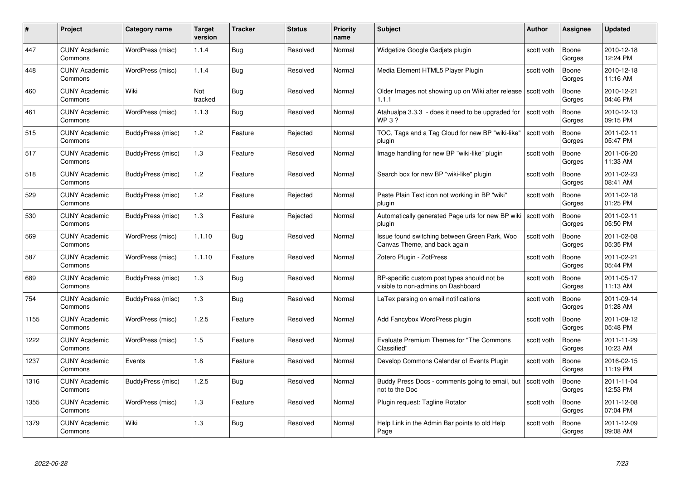| #    | Project                         | Category name     | Target<br>version | <b>Tracker</b> | <b>Status</b> | <b>Priority</b><br>name | <b>Subject</b>                                                                    | Author     | <b>Assignee</b> | <b>Updated</b>         |
|------|---------------------------------|-------------------|-------------------|----------------|---------------|-------------------------|-----------------------------------------------------------------------------------|------------|-----------------|------------------------|
| 447  | <b>CUNY Academic</b><br>Commons | WordPress (misc)  | 1.1.4             | Bug            | Resolved      | Normal                  | Widgetize Google Gadjets plugin                                                   | scott voth | Boone<br>Gorges | 2010-12-18<br>12:24 PM |
| 448  | <b>CUNY Academic</b><br>Commons | WordPress (misc)  | 1.1.4             | <b>Bug</b>     | Resolved      | Normal                  | Media Element HTML5 Player Plugin                                                 | scott voth | Boone<br>Gorges | 2010-12-18<br>11:16 AM |
| 460  | <b>CUNY Academic</b><br>Commons | Wiki              | Not<br>tracked    | <b>Bug</b>     | Resolved      | Normal                  | Older Images not showing up on Wiki after release   scott voth<br>1.1.1           |            | Boone<br>Gorges | 2010-12-21<br>04:46 PM |
| 461  | <b>CUNY Academic</b><br>Commons | WordPress (misc)  | 1.1.3             | <b>Bug</b>     | Resolved      | Normal                  | Atahualpa 3.3.3 - does it need to be upgraded for<br>WP 3 ?                       | scott voth | Boone<br>Gorges | 2010-12-13<br>09:15 PM |
| 515  | <b>CUNY Academic</b><br>Commons | BuddyPress (misc) | 1.2               | Feature        | Rejected      | Normal                  | TOC, Tags and a Tag Cloud for new BP "wiki-like"<br>plugin                        | scott voth | Boone<br>Gorges | 2011-02-11<br>05:47 PM |
| 517  | <b>CUNY Academic</b><br>Commons | BuddyPress (misc) | 1.3               | Feature        | Resolved      | Normal                  | Image handling for new BP "wiki-like" plugin                                      | scott voth | Boone<br>Gorges | 2011-06-20<br>11:33 AM |
| 518  | <b>CUNY Academic</b><br>Commons | BuddyPress (misc) | 1.2               | Feature        | Resolved      | Normal                  | Search box for new BP "wiki-like" plugin                                          | scott voth | Boone<br>Gorges | 2011-02-23<br>08:41 AM |
| 529  | <b>CUNY Academic</b><br>Commons | BuddyPress (misc) | 1.2               | Feature        | Rejected      | Normal                  | Paste Plain Text icon not working in BP "wiki"<br>plugin                          | scott voth | Boone<br>Gorges | 2011-02-18<br>01:25 PM |
| 530  | <b>CUNY Academic</b><br>Commons | BuddyPress (misc) | $1.3$             | Feature        | Rejected      | Normal                  | Automatically generated Page urls for new BP wiki   scott voth<br>plugin          |            | Boone<br>Gorges | 2011-02-11<br>05:50 PM |
| 569  | <b>CUNY Academic</b><br>Commons | WordPress (misc)  | 1.1.10            | <b>Bug</b>     | Resolved      | Normal                  | Issue found switching between Green Park, Woo<br>Canvas Theme, and back again     | scott voth | Boone<br>Gorges | 2011-02-08<br>05:35 PM |
| 587  | <b>CUNY Academic</b><br>Commons | WordPress (misc)  | 1.1.10            | Feature        | Resolved      | Normal                  | Zotero Plugin - ZotPress                                                          | scott voth | Boone<br>Gorges | 2011-02-21<br>05:44 PM |
| 689  | <b>CUNY Academic</b><br>Commons | BuddyPress (misc) | $1.3$             | Bug            | Resolved      | Normal                  | BP-specific custom post types should not be<br>visible to non-admins on Dashboard | scott voth | Boone<br>Gorges | 2011-05-17<br>11:13 AM |
| 754  | <b>CUNY Academic</b><br>Commons | BuddyPress (misc) | $1.3$             | Bug            | Resolved      | Normal                  | LaTex parsing on email notifications                                              | scott voth | Boone<br>Gorges | 2011-09-14<br>01:28 AM |
| 1155 | <b>CUNY Academic</b><br>Commons | WordPress (misc)  | 1.2.5             | Feature        | Resolved      | Normal                  | Add Fancybox WordPress plugin                                                     | scott voth | Boone<br>Gorges | 2011-09-12<br>05:48 PM |
| 1222 | <b>CUNY Academic</b><br>Commons | WordPress (misc)  | 1.5               | Feature        | Resolved      | Normal                  | Evaluate Premium Themes for "The Commons<br>Classified"                           | scott voth | Boone<br>Gorges | 2011-11-29<br>10:23 AM |
| 1237 | <b>CUNY Academic</b><br>Commons | Events            | 1.8               | Feature        | Resolved      | Normal                  | Develop Commons Calendar of Events Plugin                                         | scott voth | Boone<br>Gorges | 2016-02-15<br>11:19 PM |
| 1316 | <b>CUNY Academic</b><br>Commons | BuddyPress (misc) | 1.2.5             | <b>Bug</b>     | Resolved      | Normal                  | Buddy Press Docs - comments going to email, but<br>not to the Doc                 | scott voth | Boone<br>Gorges | 2011-11-04<br>12:53 PM |
| 1355 | <b>CUNY Academic</b><br>Commons | WordPress (misc)  | $1.3$             | Feature        | Resolved      | Normal                  | Plugin request: Tagline Rotator                                                   | scott voth | Boone<br>Gorges | 2011-12-08<br>07:04 PM |
| 1379 | <b>CUNY Academic</b><br>Commons | Wiki              | 1.3               | <b>Bug</b>     | Resolved      | Normal                  | Help Link in the Admin Bar points to old Help<br>Page                             | scott voth | Boone<br>Gorges | 2011-12-09<br>09:08 AM |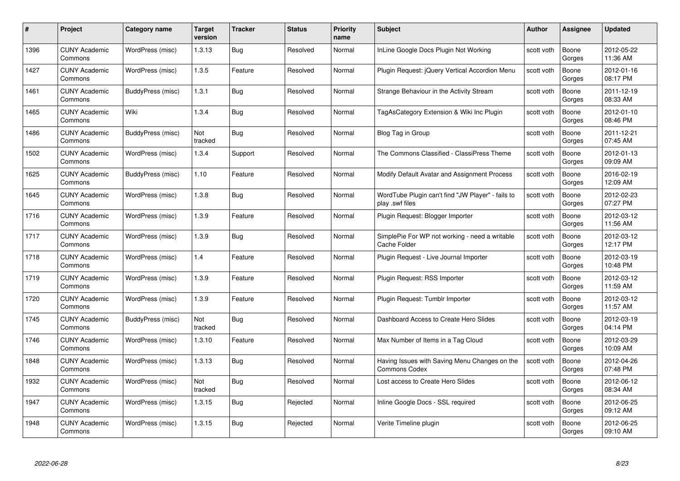| #    | Project                         | <b>Category name</b> | Target<br>version | <b>Tracker</b> | <b>Status</b> | <b>Priority</b><br>name | <b>Subject</b>                                                        | <b>Author</b> | <b>Assignee</b> | <b>Updated</b>         |
|------|---------------------------------|----------------------|-------------------|----------------|---------------|-------------------------|-----------------------------------------------------------------------|---------------|-----------------|------------------------|
| 1396 | <b>CUNY Academic</b><br>Commons | WordPress (misc)     | 1.3.13            | Bug            | Resolved      | Normal                  | InLine Google Docs Plugin Not Working                                 | scott voth    | Boone<br>Gorges | 2012-05-22<br>11:36 AM |
| 1427 | <b>CUNY Academic</b><br>Commons | WordPress (misc)     | 1.3.5             | Feature        | Resolved      | Normal                  | Plugin Request: jQuery Vertical Accordion Menu                        | scott voth    | Boone<br>Gorges | 2012-01-16<br>08:17 PM |
| 1461 | <b>CUNY Academic</b><br>Commons | BuddyPress (misc)    | 1.3.1             | Bug            | Resolved      | Normal                  | Strange Behaviour in the Activity Stream                              | scott voth    | Boone<br>Gorges | 2011-12-19<br>08:33 AM |
| 1465 | <b>CUNY Academic</b><br>Commons | Wiki                 | 1.3.4             | <b>Bug</b>     | Resolved      | Normal                  | TagAsCategory Extension & Wiki Inc Plugin                             | scott voth    | Boone<br>Gorges | 2012-01-10<br>08:46 PM |
| 1486 | CUNY Academic<br>Commons        | BuddyPress (misc)    | Not<br>tracked    | <b>Bug</b>     | Resolved      | Normal                  | Blog Tag in Group                                                     | scott voth    | Boone<br>Gorges | 2011-12-21<br>07:45 AM |
| 1502 | <b>CUNY Academic</b><br>Commons | WordPress (misc)     | 1.3.4             | Support        | Resolved      | Normal                  | The Commons Classified - ClassiPress Theme                            | scott voth    | Boone<br>Gorges | 2012-01-13<br>09:09 AM |
| 1625 | <b>CUNY Academic</b><br>Commons | BuddyPress (misc)    | 1.10              | Feature        | Resolved      | Normal                  | Modify Default Avatar and Assignment Process                          | scott voth    | Boone<br>Gorges | 2016-02-19<br>12:09 AM |
| 1645 | <b>CUNY Academic</b><br>Commons | WordPress (misc)     | 1.3.8             | Bug            | Resolved      | Normal                  | WordTube Plugin can't find "JW Player" - fails to<br>play .swf files  | scott voth    | Boone<br>Gorges | 2012-02-23<br>07:27 PM |
| 1716 | <b>CUNY Academic</b><br>Commons | WordPress (misc)     | 1.3.9             | Feature        | Resolved      | Normal                  | Plugin Request: Blogger Importer                                      | scott voth    | Boone<br>Gorges | 2012-03-12<br>11:56 AM |
| 1717 | <b>CUNY Academic</b><br>Commons | WordPress (misc)     | 1.3.9             | Bug            | Resolved      | Normal                  | SimplePie For WP not working - need a writable<br>Cache Folder        | scott voth    | Boone<br>Gorges | 2012-03-12<br>12:17 PM |
| 1718 | CUNY Academic<br>Commons        | WordPress (misc)     | 1.4               | Feature        | Resolved      | Normal                  | Plugin Request - Live Journal Importer                                | scott voth    | Boone<br>Gorges | 2012-03-19<br>10:48 PM |
| 1719 | <b>CUNY Academic</b><br>Commons | WordPress (misc)     | 1.3.9             | Feature        | Resolved      | Normal                  | Plugin Request: RSS Importer                                          | scott voth    | Boone<br>Gorges | 2012-03-12<br>11:59 AM |
| 1720 | <b>CUNY Academic</b><br>Commons | WordPress (misc)     | 1.3.9             | Feature        | Resolved      | Normal                  | Plugin Request: Tumblr Importer                                       | scott voth    | Boone<br>Gorges | 2012-03-12<br>11:57 AM |
| 1745 | <b>CUNY Academic</b><br>Commons | BuddyPress (misc)    | Not<br>tracked    | <b>Bug</b>     | Resolved      | Normal                  | Dashboard Access to Create Hero Slides                                | scott voth    | Boone<br>Gorges | 2012-03-19<br>04:14 PM |
| 1746 | <b>CUNY Academic</b><br>Commons | WordPress (misc)     | 1.3.10            | Feature        | Resolved      | Normal                  | Max Number of Items in a Tag Cloud                                    | scott voth    | Boone<br>Gorges | 2012-03-29<br>10:09 AM |
| 1848 | <b>CUNY Academic</b><br>Commons | WordPress (misc)     | 1.3.13            | Bug            | Resolved      | Normal                  | Having Issues with Saving Menu Changes on the<br><b>Commons Codex</b> | scott voth    | Boone<br>Gorges | 2012-04-26<br>07:48 PM |
| 1932 | <b>CUNY Academic</b><br>Commons | WordPress (misc)     | Not<br>tracked    | <b>Bug</b>     | Resolved      | Normal                  | Lost access to Create Hero Slides                                     | scott voth    | Boone<br>Gorges | 2012-06-12<br>08:34 AM |
| 1947 | <b>CUNY Academic</b><br>Commons | WordPress (misc)     | 1.3.15            | <b>Bug</b>     | Rejected      | Normal                  | Inline Google Docs - SSL required                                     | scott voth    | Boone<br>Gorges | 2012-06-25<br>09:12 AM |
| 1948 | CUNY Academic<br>Commons        | WordPress (misc)     | 1.3.15            | Bug            | Rejected      | Normal                  | Verite Timeline plugin                                                | scott voth    | Boone<br>Gorges | 2012-06-25<br>09:10 AM |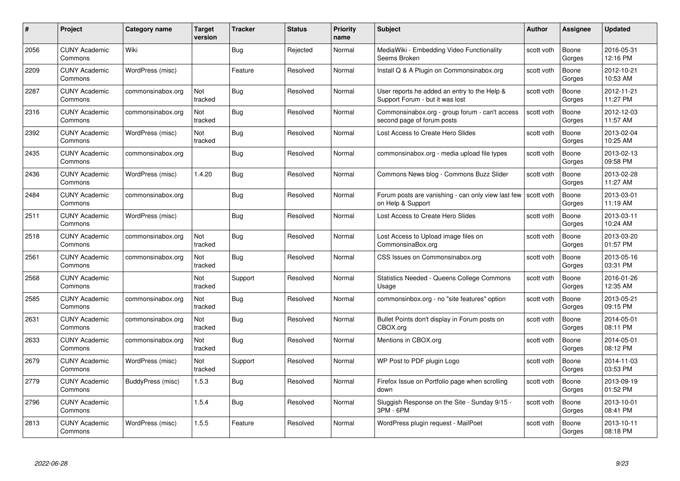| #    | Project                         | <b>Category name</b> | Target<br>version | <b>Tracker</b> | <b>Status</b> | <b>Priority</b><br>name | <b>Subject</b>                                                                  | <b>Author</b> | <b>Assignee</b> | <b>Updated</b>         |
|------|---------------------------------|----------------------|-------------------|----------------|---------------|-------------------------|---------------------------------------------------------------------------------|---------------|-----------------|------------------------|
| 2056 | <b>CUNY Academic</b><br>Commons | Wiki                 |                   | Bug            | Rejected      | Normal                  | MediaWiki - Embedding Video Functionality<br>Seems Broken                       | scott voth    | Boone<br>Gorges | 2016-05-31<br>12:16 PM |
| 2209 | <b>CUNY Academic</b><br>Commons | WordPress (misc)     |                   | Feature        | Resolved      | Normal                  | Install Q & A Plugin on Commonsinabox.org                                       | scott voth    | Boone<br>Gorges | 2012-10-21<br>10:53 AM |
| 2287 | <b>CUNY Academic</b><br>Commons | commonsinabox.org    | Not<br>tracked    | <b>Bug</b>     | Resolved      | Normal                  | User reports he added an entry to the Help &<br>Support Forum - but it was lost | scott voth    | Boone<br>Gorges | 2012-11-21<br>11:27 PM |
| 2316 | <b>CUNY Academic</b><br>Commons | commonsinabox.org    | Not<br>tracked    | <b>Bug</b>     | Resolved      | Normal                  | Commonsinabox.org - group forum - can't access<br>second page of forum posts    | scott voth    | Boone<br>Gorges | 2012-12-03<br>11:57 AM |
| 2392 | <b>CUNY Academic</b><br>Commons | WordPress (misc)     | Not<br>tracked    | Bug            | Resolved      | Normal                  | Lost Access to Create Hero Slides                                               | scott voth    | Boone<br>Gorges | 2013-02-04<br>10:25 AM |
| 2435 | <b>CUNY Academic</b><br>Commons | commonsinabox.org    |                   | <b>Bug</b>     | Resolved      | Normal                  | commonsinabox.org - media upload file types                                     | scott voth    | Boone<br>Gorges | 2013-02-13<br>09:58 PM |
| 2436 | <b>CUNY Academic</b><br>Commons | WordPress (misc)     | 1.4.20            | Bug            | Resolved      | Normal                  | Commons News blog - Commons Buzz Slider                                         | scott voth    | Boone<br>Gorges | 2013-02-28<br>11:27 AM |
| 2484 | <b>CUNY Academic</b><br>Commons | commonsinabox.org    |                   | Bug            | Resolved      | Normal                  | Forum posts are vanishing - can only view last few<br>on Help & Support         | scott voth    | Boone<br>Gorges | 2013-03-01<br>11:19 AM |
| 2511 | <b>CUNY Academic</b><br>Commons | WordPress (misc)     |                   | Bug            | Resolved      | Normal                  | Lost Access to Create Hero Slides                                               | scott voth    | Boone<br>Gorges | 2013-03-11<br>10:24 AM |
| 2518 | <b>CUNY Academic</b><br>Commons | commonsinabox.org    | Not<br>tracked    | <b>Bug</b>     | Resolved      | Normal                  | Lost Access to Upload image files on<br>CommonsinaBox.org                       | scott voth    | Boone<br>Gorges | 2013-03-20<br>01:57 PM |
| 2561 | CUNY Academic<br>Commons        | commonsinabox.org    | Not<br>tracked    | <b>Bug</b>     | Resolved      | Normal                  | CSS Issues on Commonsinabox.org                                                 | scott voth    | Boone<br>Gorges | 2013-05-16<br>03:31 PM |
| 2568 | <b>CUNY Academic</b><br>Commons |                      | Not<br>tracked    | Support        | Resolved      | Normal                  | <b>Statistics Needed - Queens College Commons</b><br>Usage                      | scott voth    | Boone<br>Gorges | 2016-01-26<br>12:35 AM |
| 2585 | <b>CUNY Academic</b><br>Commons | commonsinabox.org    | Not<br>tracked    | <b>Bug</b>     | Resolved      | Normal                  | commonsinbox.org - no "site features" option                                    | scott voth    | Boone<br>Gorges | 2013-05-21<br>09:15 PM |
| 2631 | <b>CUNY Academic</b><br>Commons | commonsinabox.org    | Not<br>tracked    | <b>Bug</b>     | Resolved      | Normal                  | Bullet Points don't display in Forum posts on<br>CBOX.org                       | scott voth    | Boone<br>Gorges | 2014-05-01<br>08:11 PM |
| 2633 | <b>CUNY Academic</b><br>Commons | commonsinabox.org    | Not<br>tracked    | <b>Bug</b>     | Resolved      | Normal                  | Mentions in CBOX.org                                                            | scott voth    | Boone<br>Gorges | 2014-05-01<br>08:12 PM |
| 2679 | <b>CUNY Academic</b><br>Commons | WordPress (misc)     | Not<br>tracked    | Support        | Resolved      | Normal                  | WP Post to PDF plugin Logo                                                      | scott voth    | Boone<br>Gorges | 2014-11-03<br>03:53 PM |
| 2779 | <b>CUNY Academic</b><br>Commons | BuddyPress (misc)    | 1.5.3             | Bug            | Resolved      | Normal                  | Firefox Issue on Portfolio page when scrolling<br>down                          | scott voth    | Boone<br>Gorges | 2013-09-19<br>01:52 PM |
| 2796 | <b>CUNY Academic</b><br>Commons |                      | 1.5.4             | <b>Bug</b>     | Resolved      | Normal                  | Sluggish Response on the Site - Sunday 9/15 -<br>3PM - 6PM                      | scott voth    | Boone<br>Gorges | 2013-10-01<br>08:41 PM |
| 2813 | <b>CUNY Academic</b><br>Commons | WordPress (misc)     | 1.5.5             | Feature        | Resolved      | Normal                  | WordPress plugin request - MailPoet                                             | scott voth    | Boone<br>Gorges | 2013-10-11<br>08:18 PM |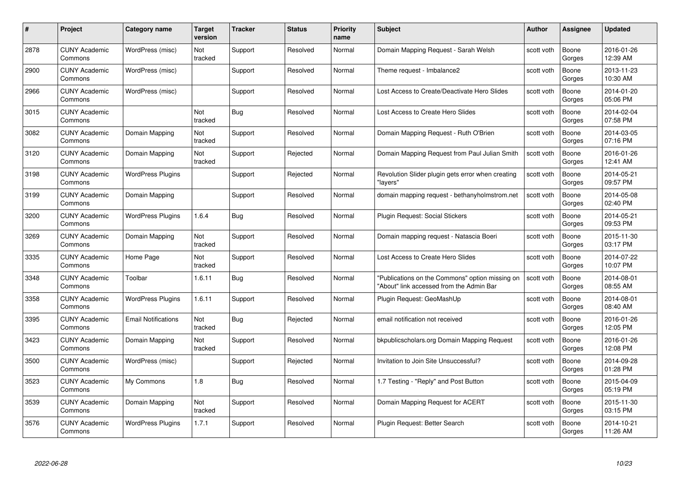| #    | Project                         | <b>Category name</b>       | Target<br>version     | <b>Tracker</b> | <b>Status</b> | <b>Priority</b><br>name | <b>Subject</b>                                                                              | <b>Author</b> | <b>Assignee</b> | <b>Updated</b>         |
|------|---------------------------------|----------------------------|-----------------------|----------------|---------------|-------------------------|---------------------------------------------------------------------------------------------|---------------|-----------------|------------------------|
| 2878 | <b>CUNY Academic</b><br>Commons | WordPress (misc)           | Not<br>tracked        | Support        | Resolved      | Normal                  | Domain Mapping Request - Sarah Welsh                                                        | scott voth    | Boone<br>Gorges | 2016-01-26<br>12:39 AM |
| 2900 | <b>CUNY Academic</b><br>Commons | WordPress (misc)           |                       | Support        | Resolved      | Normal                  | Theme request - Imbalance2                                                                  | scott voth    | Boone<br>Gorges | 2013-11-23<br>10:30 AM |
| 2966 | <b>CUNY Academic</b><br>Commons | WordPress (misc)           |                       | Support        | Resolved      | Normal                  | Lost Access to Create/Deactivate Hero Slides                                                | scott voth    | Boone<br>Gorges | 2014-01-20<br>05:06 PM |
| 3015 | <b>CUNY Academic</b><br>Commons |                            | <b>Not</b><br>tracked | Bug            | Resolved      | Normal                  | Lost Access to Create Hero Slides                                                           | scott voth    | Boone<br>Gorges | 2014-02-04<br>07:58 PM |
| 3082 | CUNY Academic<br>Commons        | Domain Mapping             | Not<br>tracked        | Support        | Resolved      | Normal                  | Domain Mapping Request - Ruth O'Brien                                                       | scott voth    | Boone<br>Gorges | 2014-03-05<br>07:16 PM |
| 3120 | <b>CUNY Academic</b><br>Commons | Domain Mapping             | Not<br>tracked        | Support        | Rejected      | Normal                  | Domain Mapping Request from Paul Julian Smith                                               | scott voth    | Boone<br>Gorges | 2016-01-26<br>12:41 AM |
| 3198 | <b>CUNY Academic</b><br>Commons | <b>WordPress Plugins</b>   |                       | Support        | Rejected      | Normal                  | Revolution Slider plugin gets error when creating<br>"layers"                               | scott voth    | Boone<br>Gorges | 2014-05-21<br>09:57 PM |
| 3199 | <b>CUNY Academic</b><br>Commons | Domain Mapping             |                       | Support        | Resolved      | Normal                  | domain mapping request - bethanyholmstrom.net                                               | scott voth    | Boone<br>Gorges | 2014-05-08<br>02:40 PM |
| 3200 | <b>CUNY Academic</b><br>Commons | <b>WordPress Plugins</b>   | 1.6.4                 | <b>Bug</b>     | Resolved      | Normal                  | Plugin Request: Social Stickers                                                             | scott voth    | Boone<br>Gorges | 2014-05-21<br>09:53 PM |
| 3269 | <b>CUNY Academic</b><br>Commons | Domain Mapping             | Not<br>tracked        | Support        | Resolved      | Normal                  | Domain mapping request - Natascia Boeri                                                     | scott voth    | Boone<br>Gorges | 2015-11-30<br>03:17 PM |
| 3335 | CUNY Academic<br>Commons        | Home Page                  | Not<br>tracked        | Support        | Resolved      | Normal                  | Lost Access to Create Hero Slides                                                           | scott voth    | Boone<br>Gorges | 2014-07-22<br>10:07 PM |
| 3348 | <b>CUNY Academic</b><br>Commons | Toolbar                    | 1.6.11                | <b>Bug</b>     | Resolved      | Normal                  | "Publications on the Commons" option missing on<br>"About" link accessed from the Admin Bar | scott voth    | Boone<br>Gorges | 2014-08-01<br>08:55 AM |
| 3358 | <b>CUNY Academic</b><br>Commons | <b>WordPress Plugins</b>   | 1.6.11                | Support        | Resolved      | Normal                  | Plugin Request: GeoMashUp                                                                   | scott voth    | Boone<br>Gorges | 2014-08-01<br>08:40 AM |
| 3395 | <b>CUNY Academic</b><br>Commons | <b>Email Notifications</b> | Not<br>tracked        | <b>Bug</b>     | Rejected      | Normal                  | email notification not received                                                             | scott voth    | Boone<br>Gorges | 2016-01-26<br>12:05 PM |
| 3423 | <b>CUNY Academic</b><br>Commons | Domain Mapping             | Not<br>tracked        | Support        | Resolved      | Normal                  | bkpublicscholars.org Domain Mapping Request                                                 | scott voth    | Boone<br>Gorges | 2016-01-26<br>12:08 PM |
| 3500 | <b>CUNY Academic</b><br>Commons | WordPress (misc)           |                       | Support        | Rejected      | Normal                  | Invitation to Join Site Unsuccessful?                                                       | scott voth    | Boone<br>Gorges | 2014-09-28<br>01:28 PM |
| 3523 | <b>CUNY Academic</b><br>Commons | My Commons                 | 1.8                   | <b>Bug</b>     | Resolved      | Normal                  | 1.7 Testing - "Reply" and Post Button                                                       | scott voth    | Boone<br>Gorges | 2015-04-09<br>05:19 PM |
| 3539 | <b>CUNY Academic</b><br>Commons | Domain Mapping             | Not<br>tracked        | Support        | Resolved      | Normal                  | Domain Mapping Request for ACERT                                                            | scott voth    | Boone<br>Gorges | 2015-11-30<br>03:15 PM |
| 3576 | CUNY Academic<br>Commons        | <b>WordPress Plugins</b>   | 1.7.1                 | Support        | Resolved      | Normal                  | Plugin Request: Better Search                                                               | scott voth    | Boone<br>Gorges | 2014-10-21<br>11:26 AM |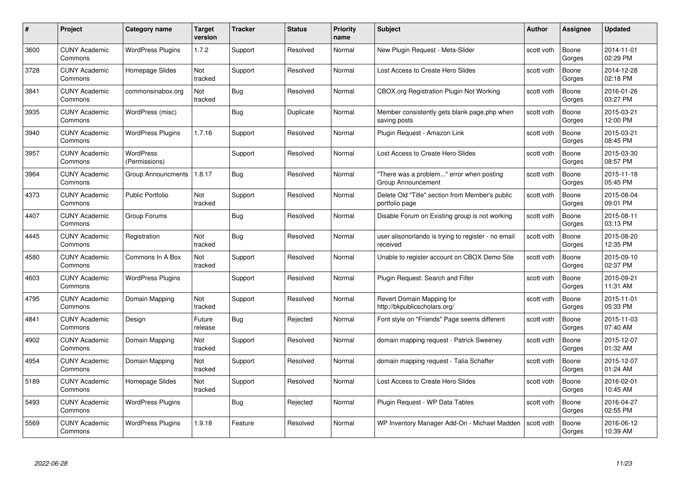| #    | Project                         | <b>Category name</b>              | Target<br>version | <b>Tracker</b> | <b>Status</b> | <b>Priority</b><br>name | <b>Subject</b>                                                    | <b>Author</b> | <b>Assignee</b> | <b>Updated</b>         |
|------|---------------------------------|-----------------------------------|-------------------|----------------|---------------|-------------------------|-------------------------------------------------------------------|---------------|-----------------|------------------------|
| 3600 | <b>CUNY Academic</b><br>Commons | <b>WordPress Plugins</b>          | 1.7.2             | Support        | Resolved      | Normal                  | New Plugin Request - Meta-Slider                                  | scott voth    | Boone<br>Gorges | 2014-11-01<br>02:29 PM |
| 3728 | <b>CUNY Academic</b><br>Commons | Homepage Slides                   | Not<br>tracked    | Support        | Resolved      | Normal                  | Lost Access to Create Hero Slides                                 | scott voth    | Boone<br>Gorges | 2014-12-28<br>02:18 PM |
| 3841 | <b>CUNY Academic</b><br>Commons | commonsinabox.org                 | Not<br>tracked    | <b>Bug</b>     | Resolved      | Normal                  | <b>CBOX.org Registration Plugin Not Working</b>                   | scott voth    | Boone<br>Gorges | 2016-01-26<br>03:27 PM |
| 3935 | <b>CUNY Academic</b><br>Commons | WordPress (misc)                  |                   | Bug            | Duplicate     | Normal                  | Member consistently gets blank page.php when<br>saving posts      | scott voth    | Boone<br>Gorges | 2015-03-21<br>12:00 PM |
| 3940 | CUNY Academic<br>Commons        | <b>WordPress Plugins</b>          | 1.7.16            | Support        | Resolved      | Normal                  | Plugin Request - Amazon Link                                      | scott voth    | Boone<br>Gorges | 2015-03-21<br>08:45 PM |
| 3957 | <b>CUNY Academic</b><br>Commons | <b>WordPress</b><br>(Permissions) |                   | Support        | Resolved      | Normal                  | Lost Access to Create Hero Slides                                 | scott voth    | Boone<br>Gorges | 2015-03-30<br>08:57 PM |
| 3964 | <b>CUNY Academic</b><br>Commons | <b>Group Announcments</b>         | 1.8.17            | Bug            | Resolved      | Normal                  | "There was a problem" error when posting<br>Group Announcement    | scott voth    | Boone<br>Gorges | 2015-11-18<br>05:45 PM |
| 4373 | <b>CUNY Academic</b><br>Commons | <b>Public Portfolio</b>           | Not<br>tracked    | Support        | Resolved      | Normal                  | Delete Old "Title" section from Member's public<br>portfolio page | scott voth    | Boone<br>Gorges | 2015-08-04<br>09:01 PM |
| 4407 | <b>CUNY Academic</b><br>Commons | Group Forums                      |                   | Bug            | Resolved      | Normal                  | Disable Forum on Existing group is not working                    | scott voth    | Boone<br>Gorges | 2015-08-11<br>03:13 PM |
| 4445 | <b>CUNY Academic</b><br>Commons | Registration                      | Not<br>tracked    | Bug            | Resolved      | Normal                  | user alisonorlando is trying to register - no email<br>received   | scott voth    | Boone<br>Gorges | 2015-08-20<br>12:35 PM |
| 4580 | CUNY Academic<br>Commons        | Commons In A Box                  | Not<br>tracked    | Support        | Resolved      | Normal                  | Unable to register account on CBOX Demo Site                      | scott voth    | Boone<br>Gorges | 2015-09-10<br>02:37 PM |
| 4603 | <b>CUNY Academic</b><br>Commons | <b>WordPress Plugins</b>          |                   | Support        | Resolved      | Normal                  | Plugin Request: Search and Filter                                 | scott voth    | Boone<br>Gorges | 2015-09-21<br>11:31 AM |
| 4795 | <b>CUNY Academic</b><br>Commons | Domain Mapping                    | Not<br>tracked    | Support        | Resolved      | Normal                  | Revert Domain Mapping for<br>http://bkpublicscholars.org/         | scott voth    | Boone<br>Gorges | 2015-11-01<br>05:33 PM |
| 4841 | <b>CUNY Academic</b><br>Commons | Design                            | Future<br>release | <b>Bug</b>     | Rejected      | Normal                  | Font style on "Friends" Page seems different                      | scott voth    | Boone<br>Gorges | 2015-11-03<br>07:40 AM |
| 4902 | <b>CUNY Academic</b><br>Commons | Domain Mapping                    | Not<br>tracked    | Support        | Resolved      | Normal                  | domain mapping request - Patrick Sweeney                          | scott voth    | Boone<br>Gorges | 2015-12-07<br>01:32 AM |
| 4954 | <b>CUNY Academic</b><br>Commons | Domain Mapping                    | Not<br>tracked    | Support        | Resolved      | Normal                  | domain mapping request - Talia Schaffer                           | scott voth    | Boone<br>Gorges | 2015-12-07<br>01:24 AM |
| 5189 | <b>CUNY Academic</b><br>Commons | Homepage Slides                   | Not<br>tracked    | Support        | Resolved      | Normal                  | Lost Access to Create Hero Slides                                 | scott voth    | Boone<br>Gorges | 2016-02-01<br>10:45 AM |
| 5493 | <b>CUNY Academic</b><br>Commons | <b>WordPress Plugins</b>          |                   | <b>Bug</b>     | Rejected      | Normal                  | Plugin Request - WP Data Tables                                   | scott voth    | Boone<br>Gorges | 2016-04-27<br>02:55 PM |
| 5569 | <b>CUNY Academic</b><br>Commons | <b>WordPress Plugins</b>          | 1.9.18            | Feature        | Resolved      | Normal                  | WP Inventory Manager Add-On - Michael Madden                      | scott voth    | Boone<br>Gorges | 2016-06-12<br>10:39 AM |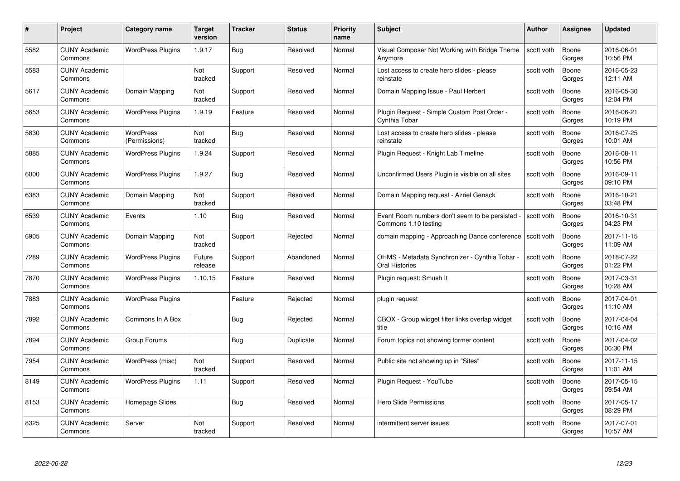| #    | Project                         | Category name                     | <b>Target</b><br>version | <b>Tracker</b> | <b>Status</b> | <b>Priority</b><br>name | <b>Subject</b>                                                        | <b>Author</b> | <b>Assignee</b> | <b>Updated</b>         |
|------|---------------------------------|-----------------------------------|--------------------------|----------------|---------------|-------------------------|-----------------------------------------------------------------------|---------------|-----------------|------------------------|
| 5582 | <b>CUNY Academic</b><br>Commons | <b>WordPress Plugins</b>          | 1.9.17                   | <b>Bug</b>     | Resolved      | Normal                  | Visual Composer Not Working with Bridge Theme<br>Anymore              | scott voth    | Boone<br>Gorges | 2016-06-01<br>10:56 PM |
| 5583 | <b>CUNY Academic</b><br>Commons |                                   | <b>Not</b><br>tracked    | Support        | Resolved      | Normal                  | Lost access to create hero slides - please<br>reinstate               | scott voth    | Boone<br>Gorges | 2016-05-23<br>12:11 AM |
| 5617 | <b>CUNY Academic</b><br>Commons | Domain Mapping                    | Not<br>tracked           | Support        | Resolved      | Normal                  | Domain Mapping Issue - Paul Herbert                                   | scott voth    | Boone<br>Gorges | 2016-05-30<br>12:04 PM |
| 5653 | <b>CUNY Academic</b><br>Commons | <b>WordPress Plugins</b>          | 1.9.19                   | Feature        | Resolved      | Normal                  | Plugin Request - Simple Custom Post Order -<br>Cvnthia Tobar          | scott voth    | Boone<br>Gorges | 2016-06-21<br>10:19 PM |
| 5830 | <b>CUNY Academic</b><br>Commons | <b>WordPress</b><br>(Permissions) | Not<br>tracked           | <b>Bug</b>     | Resolved      | Normal                  | Lost access to create hero slides - please<br>reinstate               | scott voth    | Boone<br>Gorges | 2016-07-25<br>10:01 AM |
| 5885 | <b>CUNY Academic</b><br>Commons | <b>WordPress Plugins</b>          | 1.9.24                   | Support        | Resolved      | Normal                  | Plugin Request - Knight Lab Timeline                                  | scott voth    | Boone<br>Gorges | 2016-08-11<br>10:56 PM |
| 6000 | <b>CUNY Academic</b><br>Commons | <b>WordPress Plugins</b>          | 1.9.27                   | <b>Bug</b>     | Resolved      | Normal                  | Unconfirmed Users Plugin is visible on all sites                      | scott voth    | Boone<br>Gorges | 2016-09-11<br>09:10 PM |
| 6383 | <b>CUNY Academic</b><br>Commons | Domain Mapping                    | Not<br>tracked           | Support        | Resolved      | Normal                  | Domain Mapping request - Azriel Genack                                | scott voth    | Boone<br>Gorges | 2016-10-21<br>03:48 PM |
| 6539 | <b>CUNY Academic</b><br>Commons | Events                            | 1.10                     | Bug            | Resolved      | Normal                  | Event Room numbers don't seem to be persisted<br>Commons 1.10 testing | scott voth    | Boone<br>Gorges | 2016-10-31<br>04:23 PM |
| 6905 | <b>CUNY Academic</b><br>Commons | Domain Mapping                    | Not<br>tracked           | Support        | Rejected      | Normal                  | domain mapping - Approaching Dance conference                         | scott voth    | Boone<br>Gorges | 2017-11-15<br>11:09 AM |
| 7289 | <b>CUNY Academic</b><br>Commons | <b>WordPress Plugins</b>          | Future<br>release        | Support        | Abandoned     | Normal                  | OHMS - Metadata Synchronizer - Cynthia Tobar -<br>Oral Histories      | scott voth    | Boone<br>Gorges | 2018-07-22<br>01:22 PM |
| 7870 | <b>CUNY Academic</b><br>Commons | <b>WordPress Plugins</b>          | 1.10.15                  | Feature        | Resolved      | Normal                  | Plugin request: Smush It                                              | scott voth    | Boone<br>Gorges | 2017-03-31<br>10:28 AM |
| 7883 | <b>CUNY Academic</b><br>Commons | <b>WordPress Plugins</b>          |                          | Feature        | Rejected      | Normal                  | plugin request                                                        | scott voth    | Boone<br>Gorges | 2017-04-01<br>11:10 AM |
| 7892 | <b>CUNY Academic</b><br>Commons | Commons In A Box                  |                          | Bug            | Rejected      | Normal                  | CBOX - Group widget filter links overlap widget<br>title              | scott voth    | Boone<br>Gorges | 2017-04-04<br>10:16 AM |
| 7894 | <b>CUNY Academic</b><br>Commons | Group Forums                      |                          | Bug            | Duplicate     | Normal                  | Forum topics not showing former content                               | scott voth    | Boone<br>Gorges | 2017-04-02<br>06:30 PM |
| 7954 | <b>CUNY Academic</b><br>Commons | WordPress (misc)                  | Not<br>tracked           | Support        | Resolved      | Normal                  | Public site not showing up in "Sites"                                 | scott voth    | Boone<br>Gorges | 2017-11-15<br>11:01 AM |
| 8149 | <b>CUNY Academic</b><br>Commons | <b>WordPress Plugins</b>          | 1.11                     | Support        | Resolved      | Normal                  | Plugin Request - YouTube                                              | scott voth    | Boone<br>Gorges | 2017-05-15<br>09:54 AM |
| 8153 | <b>CUNY Academic</b><br>Commons | Homepage Slides                   |                          | <b>Bug</b>     | Resolved      | Normal                  | <b>Hero Slide Permissions</b>                                         | scott voth    | Boone<br>Gorges | 2017-05-17<br>08:29 PM |
| 8325 | <b>CUNY Academic</b><br>Commons | Server                            | Not<br>tracked           | Support        | Resolved      | Normal                  | intermittent server issues                                            | scott voth    | Boone<br>Gorges | 2017-07-01<br>10:57 AM |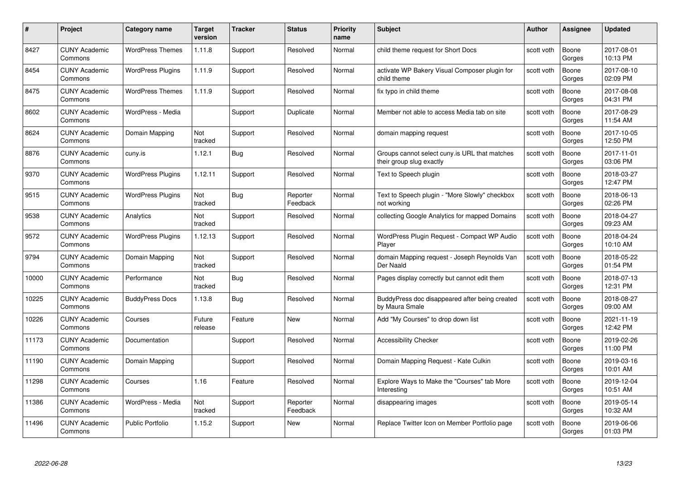| #     | Project                         | <b>Category name</b>     | Target<br>version | <b>Tracker</b> | <b>Status</b>        | <b>Priority</b><br>name | <b>Subject</b>                                                            | <b>Author</b> | <b>Assignee</b> | <b>Updated</b>         |
|-------|---------------------------------|--------------------------|-------------------|----------------|----------------------|-------------------------|---------------------------------------------------------------------------|---------------|-----------------|------------------------|
| 8427  | <b>CUNY Academic</b><br>Commons | <b>WordPress Themes</b>  | 1.11.8            | Support        | Resolved             | Normal                  | child theme request for Short Docs                                        | scott voth    | Boone<br>Gorges | 2017-08-01<br>10:13 PM |
| 8454  | <b>CUNY Academic</b><br>Commons | <b>WordPress Plugins</b> | 1.11.9            | Support        | Resolved             | Normal                  | activate WP Bakery Visual Composer plugin for<br>child theme              | scott voth    | Boone<br>Gorges | 2017-08-10<br>02:09 PM |
| 8475  | <b>CUNY Academic</b><br>Commons | <b>WordPress Themes</b>  | 1.11.9            | Support        | Resolved             | Normal                  | fix typo in child theme                                                   | scott voth    | Boone<br>Gorges | 2017-08-08<br>04:31 PM |
| 8602  | <b>CUNY Academic</b><br>Commons | WordPress - Media        |                   | Support        | Duplicate            | Normal                  | Member not able to access Media tab on site                               | scott voth    | Boone<br>Gorges | 2017-08-29<br>11:54 AM |
| 8624  | <b>CUNY Academic</b><br>Commons | Domain Mapping           | Not<br>tracked    | Support        | Resolved             | Normal                  | domain mapping request                                                    | scott voth    | Boone<br>Gorges | 2017-10-05<br>12:50 PM |
| 8876  | <b>CUNY Academic</b><br>Commons | cuny.is                  | 1.12.1            | Bug            | Resolved             | Normal                  | Groups cannot select cuny is URL that matches<br>their group slug exactly | scott voth    | Boone<br>Gorges | 2017-11-01<br>03:06 PM |
| 9370  | <b>CUNY Academic</b><br>Commons | <b>WordPress Plugins</b> | 1.12.11           | Support        | Resolved             | Normal                  | Text to Speech plugin                                                     | scott voth    | Boone<br>Gorges | 2018-03-27<br>12:47 PM |
| 9515  | <b>CUNY Academic</b><br>Commons | <b>WordPress Plugins</b> | Not<br>tracked    | <b>Bug</b>     | Reporter<br>Feedback | Normal                  | Text to Speech plugin - "More Slowly" checkbox<br>not working             | scott voth    | Boone<br>Gorges | 2018-06-13<br>02:26 PM |
| 9538  | <b>CUNY Academic</b><br>Commons | Analytics                | Not<br>tracked    | Support        | Resolved             | Normal                  | collecting Google Analytics for mapped Domains                            | scott voth    | Boone<br>Gorges | 2018-04-27<br>09:23 AM |
| 9572  | <b>CUNY Academic</b><br>Commons | <b>WordPress Plugins</b> | 1.12.13           | Support        | Resolved             | Normal                  | WordPress Plugin Request - Compact WP Audio<br>Player                     | scott voth    | Boone<br>Gorges | 2018-04-24<br>10:10 AM |
| 9794  | CUNY Academic<br>Commons        | Domain Mapping           | Not<br>tracked    | Support        | Resolved             | Normal                  | domain Mapping request - Joseph Reynolds Van<br>Der Naald                 | scott voth    | Boone<br>Gorges | 2018-05-22<br>01:54 PM |
| 10000 | <b>CUNY Academic</b><br>Commons | Performance              | Not<br>tracked    | Bug            | Resolved             | Normal                  | Pages display correctly but cannot edit them                              | scott voth    | Boone<br>Gorges | 2018-07-13<br>12:31 PM |
| 10225 | <b>CUNY Academic</b><br>Commons | <b>BuddyPress Docs</b>   | 1.13.8            | <b>Bug</b>     | Resolved             | Normal                  | BuddyPress doc disappeared after being created<br>by Maura Smale          | scott voth    | Boone<br>Gorges | 2018-08-27<br>09:00 AM |
| 10226 | <b>CUNY Academic</b><br>Commons | Courses                  | Future<br>release | Feature        | New                  | Normal                  | Add "My Courses" to drop down list                                        | scott voth    | Boone<br>Gorges | 2021-11-19<br>12:42 PM |
| 11173 | <b>CUNY Academic</b><br>Commons | Documentation            |                   | Support        | Resolved             | Normal                  | <b>Accessibility Checker</b>                                              | scott voth    | Boone<br>Gorges | 2019-02-26<br>11:00 PM |
| 11190 | <b>CUNY Academic</b><br>Commons | Domain Mapping           |                   | Support        | Resolved             | Normal                  | Domain Mapping Request - Kate Culkin                                      | scott voth    | Boone<br>Gorges | 2019-03-16<br>10:01 AM |
| 11298 | <b>CUNY Academic</b><br>Commons | Courses                  | 1.16              | Feature        | Resolved             | Normal                  | Explore Ways to Make the "Courses" tab More<br>Interesting                | scott voth    | Boone<br>Gorges | 2019-12-04<br>10:51 AM |
| 11386 | <b>CUNY Academic</b><br>Commons | WordPress - Media        | Not<br>tracked    | Support        | Reporter<br>Feedback | Normal                  | disappearing images                                                       | scott voth    | Boone<br>Gorges | 2019-05-14<br>10:32 AM |
| 11496 | CUNY Academic<br>Commons        | <b>Public Portfolio</b>  | 1.15.2            | Support        | <b>New</b>           | Normal                  | Replace Twitter Icon on Member Portfolio page                             | scott voth    | Boone<br>Gorges | 2019-06-06<br>01:03 PM |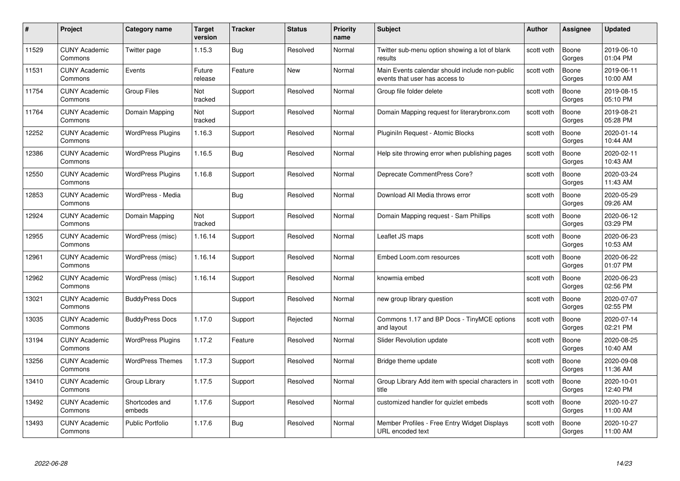| #     | Project                         | Category name            | <b>Target</b><br>version | <b>Tracker</b> | <b>Status</b> | <b>Priority</b><br>name | <b>Subject</b>                                                                   | <b>Author</b> | <b>Assignee</b> | <b>Updated</b>         |
|-------|---------------------------------|--------------------------|--------------------------|----------------|---------------|-------------------------|----------------------------------------------------------------------------------|---------------|-----------------|------------------------|
| 11529 | <b>CUNY Academic</b><br>Commons | Twitter page             | 1.15.3                   | Bug            | Resolved      | Normal                  | Twitter sub-menu option showing a lot of blank<br>results                        | scott voth    | Boone<br>Gorges | 2019-06-10<br>01:04 PM |
| 11531 | <b>CUNY Academic</b><br>Commons | Events                   | Future<br>release        | Feature        | New           | Normal                  | Main Events calendar should include non-public<br>events that user has access to | scott voth    | Boone<br>Gorges | 2019-06-11<br>10:00 AM |
| 11754 | <b>CUNY Academic</b><br>Commons | <b>Group Files</b>       | Not<br>tracked           | Support        | Resolved      | Normal                  | Group file folder delete                                                         | scott voth    | Boone<br>Gorges | 2019-08-15<br>05:10 PM |
| 11764 | <b>CUNY Academic</b><br>Commons | Domain Mapping           | Not<br>tracked           | Support        | Resolved      | Normal                  | Domain Mapping request for literarybronx.com                                     | scott voth    | Boone<br>Gorges | 2019-08-21<br>05:28 PM |
| 12252 | <b>CUNY Academic</b><br>Commons | <b>WordPress Plugins</b> | 1.16.3                   | Support        | Resolved      | Normal                  | Pluginiln Request - Atomic Blocks                                                | scott voth    | Boone<br>Gorges | 2020-01-14<br>10:44 AM |
| 12386 | <b>CUNY Academic</b><br>Commons | <b>WordPress Plugins</b> | 1.16.5                   | Bug            | Resolved      | Normal                  | Help site throwing error when publishing pages                                   | scott voth    | Boone<br>Gorges | 2020-02-11<br>10:43 AM |
| 12550 | <b>CUNY Academic</b><br>Commons | <b>WordPress Plugins</b> | 1.16.8                   | Support        | Resolved      | Normal                  | Deprecate CommentPress Core?                                                     | scott voth    | Boone<br>Gorges | 2020-03-24<br>11:43 AM |
| 12853 | <b>CUNY Academic</b><br>Commons | WordPress - Media        |                          | Bug            | Resolved      | Normal                  | Download All Media throws error                                                  | scott voth    | Boone<br>Gorges | 2020-05-29<br>09:26 AM |
| 12924 | <b>CUNY Academic</b><br>Commons | Domain Mapping           | Not<br>tracked           | Support        | Resolved      | Normal                  | Domain Mapping request - Sam Phillips                                            | scott voth    | Boone<br>Gorges | 2020-06-12<br>03:29 PM |
| 12955 | <b>CUNY Academic</b><br>Commons | WordPress (misc)         | 1.16.14                  | Support        | Resolved      | Normal                  | Leaflet JS maps                                                                  | scott voth    | Boone<br>Gorges | 2020-06-23<br>10:53 AM |
| 12961 | <b>CUNY Academic</b><br>Commons | WordPress (misc)         | 1.16.14                  | Support        | Resolved      | Normal                  | Embed Loom.com resources                                                         | scott voth    | Boone<br>Gorges | 2020-06-22<br>01:07 PM |
| 12962 | <b>CUNY Academic</b><br>Commons | WordPress (misc)         | 1.16.14                  | Support        | Resolved      | Normal                  | knowmia embed                                                                    | scott voth    | Boone<br>Gorges | 2020-06-23<br>02:56 PM |
| 13021 | <b>CUNY Academic</b><br>Commons | <b>BuddyPress Docs</b>   |                          | Support        | Resolved      | Normal                  | new group library question                                                       | scott voth    | Boone<br>Gorges | 2020-07-07<br>02:55 PM |
| 13035 | <b>CUNY Academic</b><br>Commons | <b>BuddyPress Docs</b>   | 1.17.0                   | Support        | Rejected      | Normal                  | Commons 1.17 and BP Docs - TinyMCE options<br>and layout                         | scott voth    | Boone<br>Gorges | 2020-07-14<br>02:21 PM |
| 13194 | <b>CUNY Academic</b><br>Commons | <b>WordPress Plugins</b> | 1.17.2                   | Feature        | Resolved      | Normal                  | Slider Revolution update                                                         | scott voth    | Boone<br>Gorges | 2020-08-25<br>10:40 AM |
| 13256 | <b>CUNY Academic</b><br>Commons | <b>WordPress Themes</b>  | 1.17.3                   | Support        | Resolved      | Normal                  | Bridge theme update                                                              | scott voth    | Boone<br>Gorges | 2020-09-08<br>11:36 AM |
| 13410 | <b>CUNY Academic</b><br>Commons | Group Library            | 1.17.5                   | Support        | Resolved      | Normal                  | Group Library Add item with special characters in<br>title                       | scott voth    | Boone<br>Gorges | 2020-10-01<br>12:40 PM |
| 13492 | <b>CUNY Academic</b><br>Commons | Shortcodes and<br>embeds | 1.17.6                   | Support        | Resolved      | Normal                  | customized handler for quizlet embeds                                            | scott voth    | Boone<br>Gorges | 2020-10-27<br>11:00 AM |
| 13493 | <b>CUNY Academic</b><br>Commons | <b>Public Portfolio</b>  | 1.17.6                   | <b>Bug</b>     | Resolved      | Normal                  | Member Profiles - Free Entry Widget Displays<br>URL encoded text                 | scott voth    | Boone<br>Gorges | 2020-10-27<br>11:00 AM |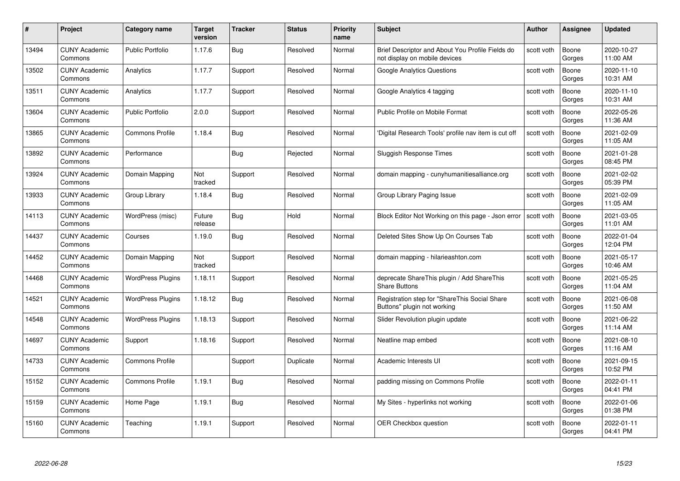| #     | Project                         | <b>Category name</b>     | Target<br>version | <b>Tracker</b> | <b>Status</b> | <b>Priority</b><br>name | <b>Subject</b>                                                                    | Author     | Assignee        | <b>Updated</b>         |
|-------|---------------------------------|--------------------------|-------------------|----------------|---------------|-------------------------|-----------------------------------------------------------------------------------|------------|-----------------|------------------------|
| 13494 | <b>CUNY Academic</b><br>Commons | Public Portfolio         | 1.17.6            | Bug            | Resolved      | Normal                  | Brief Descriptor and About You Profile Fields do<br>not display on mobile devices | scott voth | Boone<br>Gorges | 2020-10-27<br>11:00 AM |
| 13502 | <b>CUNY Academic</b><br>Commons | Analytics                | 1.17.7            | Support        | Resolved      | Normal                  | <b>Google Analytics Questions</b>                                                 | scott voth | Boone<br>Gorges | 2020-11-10<br>10:31 AM |
| 13511 | <b>CUNY Academic</b><br>Commons | Analytics                | 1.17.7            | Support        | Resolved      | Normal                  | Google Analytics 4 tagging                                                        | scott voth | Boone<br>Gorges | 2020-11-10<br>10:31 AM |
| 13604 | <b>CUNY Academic</b><br>Commons | <b>Public Portfolio</b>  | 2.0.0             | Support        | Resolved      | Normal                  | Public Profile on Mobile Format                                                   | scott voth | Boone<br>Gorges | 2022-05-26<br>11:36 AM |
| 13865 | <b>CUNY Academic</b><br>Commons | <b>Commons Profile</b>   | 1.18.4            | <b>Bug</b>     | Resolved      | Normal                  | 'Digital Research Tools' profile nav item is cut off                              | scott voth | Boone<br>Gorges | 2021-02-09<br>11:05 AM |
| 13892 | <b>CUNY Academic</b><br>Commons | Performance              |                   | Bug            | Rejected      | Normal                  | Sluggish Response Times                                                           | scott voth | Boone<br>Gorges | 2021-01-28<br>08:45 PM |
| 13924 | <b>CUNY Academic</b><br>Commons | Domain Mapping           | Not<br>tracked    | Support        | Resolved      | Normal                  | domain mapping - cunyhumanitiesalliance.org                                       | scott voth | Boone<br>Gorges | 2021-02-02<br>05:39 PM |
| 13933 | <b>CUNY Academic</b><br>Commons | Group Library            | 1.18.4            | <b>Bug</b>     | Resolved      | Normal                  | Group Library Paging Issue                                                        | scott voth | Boone<br>Gorges | 2021-02-09<br>11:05 AM |
| 14113 | <b>CUNY Academic</b><br>Commons | WordPress (misc)         | Future<br>release | <b>Bug</b>     | Hold          | Normal                  | Block Editor Not Working on this page - Json error                                | scott voth | Boone<br>Gorges | 2021-03-05<br>11:01 AM |
| 14437 | <b>CUNY Academic</b><br>Commons | Courses                  | 1.19.0            | <b>Bug</b>     | Resolved      | Normal                  | Deleted Sites Show Up On Courses Tab                                              | scott voth | Boone<br>Gorges | 2022-01-04<br>12:04 PM |
| 14452 | <b>CUNY Academic</b><br>Commons | Domain Mapping           | Not<br>tracked    | Support        | Resolved      | Normal                  | domain mapping - hilarieashton.com                                                | scott voth | Boone<br>Gorges | 2021-05-17<br>10:46 AM |
| 14468 | <b>CUNY Academic</b><br>Commons | <b>WordPress Plugins</b> | 1.18.11           | Support        | Resolved      | Normal                  | deprecate ShareThis plugin / Add ShareThis<br><b>Share Buttons</b>                | scott voth | Boone<br>Gorges | 2021-05-25<br>11:04 AM |
| 14521 | <b>CUNY Academic</b><br>Commons | <b>WordPress Plugins</b> | 1.18.12           | Bug            | Resolved      | Normal                  | Registration step for "ShareThis Social Share<br>Buttons" plugin not working      | scott voth | Boone<br>Gorges | 2021-06-08<br>11:50 AM |
| 14548 | <b>CUNY Academic</b><br>Commons | <b>WordPress Plugins</b> | 1.18.13           | Support        | Resolved      | Normal                  | Slider Revolution plugin update                                                   | scott voth | Boone<br>Gorges | 2021-06-22<br>11:14 AM |
| 14697 | <b>CUNY Academic</b><br>Commons | Support                  | 1.18.16           | Support        | Resolved      | Normal                  | Neatline map embed                                                                | scott voth | Boone<br>Gorges | 2021-08-10<br>11:16 AM |
| 14733 | <b>CUNY Academic</b><br>Commons | <b>Commons Profile</b>   |                   | Support        | Duplicate     | Normal                  | Academic Interests UI                                                             | scott voth | Boone<br>Gorges | 2021-09-15<br>10:52 PM |
| 15152 | <b>CUNY Academic</b><br>Commons | <b>Commons Profile</b>   | 1.19.1            | Bug            | Resolved      | Normal                  | padding missing on Commons Profile                                                | scott voth | Boone<br>Gorges | 2022-01-11<br>04:41 PM |
| 15159 | <b>CUNY Academic</b><br>Commons | Home Page                | 1.19.1            | Bug            | Resolved      | Normal                  | My Sites - hyperlinks not working                                                 | scott voth | Boone<br>Gorges | 2022-01-06<br>01:38 PM |
| 15160 | CUNY Academic<br>Commons        | Teaching                 | 1.19.1            | Support        | Resolved      | Normal                  | <b>OER Checkbox question</b>                                                      | scott voth | Boone<br>Gorges | 2022-01-11<br>04:41 PM |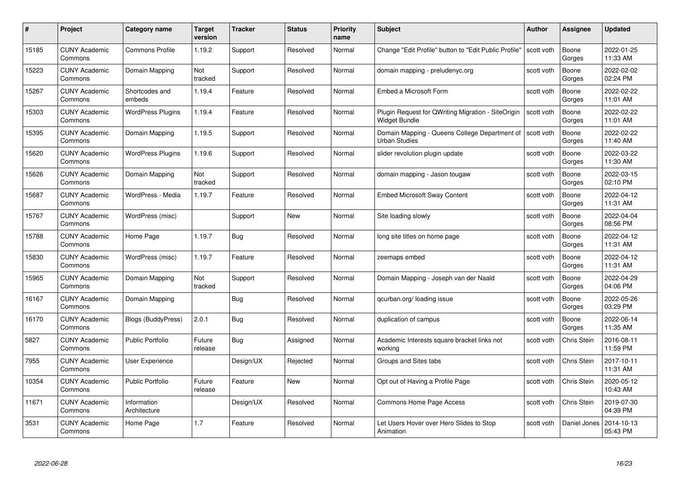| #     | Project                         | <b>Category name</b>        | Target<br>version | <b>Tracker</b> | <b>Status</b> | <b>Priority</b><br>name | <b>Subject</b>                                                        | <b>Author</b> | <b>Assignee</b> | <b>Updated</b>         |
|-------|---------------------------------|-----------------------------|-------------------|----------------|---------------|-------------------------|-----------------------------------------------------------------------|---------------|-----------------|------------------------|
| 15185 | <b>CUNY Academic</b><br>Commons | <b>Commons Profile</b>      | 1.19.2            | Support        | Resolved      | Normal                  | Change "Edit Profile" button to "Edit Public Profile"                 | scott voth    | Boone<br>Gorges | 2022-01-25<br>11:33 AM |
| 15223 | <b>CUNY Academic</b><br>Commons | Domain Mapping              | Not<br>tracked    | Support        | Resolved      | Normal                  | domain mapping - preludenyc.org                                       | scott voth    | Boone<br>Gorges | 2022-02-02<br>02:24 PM |
| 15267 | <b>CUNY Academic</b><br>Commons | Shortcodes and<br>embeds    | 1.19.4            | Feature        | Resolved      | Normal                  | Embed a Microsoft Form                                                | scott voth    | Boone<br>Gorges | 2022-02-22<br>11:01 AM |
| 15303 | <b>CUNY Academic</b><br>Commons | <b>WordPress Plugins</b>    | 1.19.4            | Feature        | Resolved      | Normal                  | Plugin Request for QWriting Migration - SiteOrigin<br>Widget Bundle   | scott voth    | Boone<br>Gorges | 2022-02-22<br>11:01 AM |
| 15395 | <b>CUNY Academic</b><br>Commons | Domain Mapping              | 1.19.5            | Support        | Resolved      | Normal                  | Domain Mapping - Queens College Department of<br><b>Urban Studies</b> | scott voth    | Boone<br>Gorges | 2022-02-22<br>11:40 AM |
| 15620 | <b>CUNY Academic</b><br>Commons | <b>WordPress Plugins</b>    | 1.19.6            | Support        | Resolved      | Normal                  | slider revolution plugin update                                       | scott voth    | Boone<br>Gorges | 2022-03-22<br>11:30 AM |
| 15626 | <b>CUNY Academic</b><br>Commons | Domain Mapping              | Not<br>tracked    | Support        | Resolved      | Normal                  | domain mapping - Jason tougaw                                         | scott voth    | Boone<br>Gorges | 2022-03-15<br>02:10 PM |
| 15687 | <b>CUNY Academic</b><br>Commons | WordPress - Media           | 1.19.7            | Feature        | Resolved      | Normal                  | <b>Embed Microsoft Sway Content</b>                                   | scott voth    | Boone<br>Gorges | 2022-04-12<br>11:31 AM |
| 15767 | <b>CUNY Academic</b><br>Commons | WordPress (misc)            |                   | Support        | New           | Normal                  | Site loading slowly                                                   | scott voth    | Boone<br>Gorges | 2022-04-04<br>08:56 PM |
| 15788 | <b>CUNY Academic</b><br>Commons | Home Page                   | 1.19.7            | Bug            | Resolved      | Normal                  | long site titles on home page                                         | scott voth    | Boone<br>Gorges | 2022-04-12<br>11:31 AM |
| 15830 | <b>CUNY Academic</b><br>Commons | WordPress (misc)            | 1.19.7            | Feature        | Resolved      | Normal                  | zeemaps embed                                                         | scott voth    | Boone<br>Gorges | 2022-04-12<br>11:31 AM |
| 15965 | <b>CUNY Academic</b><br>Commons | Domain Mapping              | Not<br>tracked    | Support        | Resolved      | Normal                  | Domain Mapping - Joseph van der Naald                                 | scott voth    | Boone<br>Gorges | 2022-04-29<br>04:06 PM |
| 16167 | <b>CUNY Academic</b><br>Commons | Domain Mapping              |                   | <b>Bug</b>     | Resolved      | Normal                  | qcurban.org/ loading issue                                            | scott voth    | Boone<br>Gorges | 2022-05-26<br>03:29 PM |
| 16170 | <b>CUNY Academic</b><br>Commons | <b>Blogs (BuddyPress)</b>   | 2.0.1             | Bug            | Resolved      | Normal                  | duplication of campus                                                 | scott voth    | Boone<br>Gorges | 2022-06-14<br>11:35 AM |
| 5827  | <b>CUNY Academic</b><br>Commons | <b>Public Portfolio</b>     | Future<br>release | Bug            | Assigned      | Normal                  | Academic Interests square bracket links not<br>workina                | scott voth    | Chris Stein     | 2016-08-11<br>11:59 PM |
| 7955  | <b>CUNY Academic</b><br>Commons | <b>User Experience</b>      |                   | Design/UX      | Rejected      | Normal                  | Groups and Sites tabs                                                 | scott voth    | Chris Stein     | 2017-10-11<br>11:31 AM |
| 10354 | <b>CUNY Academic</b><br>Commons | <b>Public Portfolio</b>     | Future<br>release | Feature        | New           | Normal                  | Opt out of Having a Profile Page                                      | scott voth    | Chris Stein     | 2020-05-12<br>10:43 AM |
| 11671 | <b>CUNY Academic</b><br>Commons | Information<br>Architecture |                   | Design/UX      | Resolved      | Normal                  | Commons Home Page Access                                              | scott voth    | Chris Stein     | 2019-07-30<br>04:39 PM |
| 3531  | CUNY Academic<br>Commons        | Home Page                   | 1.7               | Feature        | Resolved      | Normal                  | Let Users Hover over Hero Slides to Stop<br>Animation                 | scott voth    | Daniel Jones    | 2014-10-13<br>05:43 PM |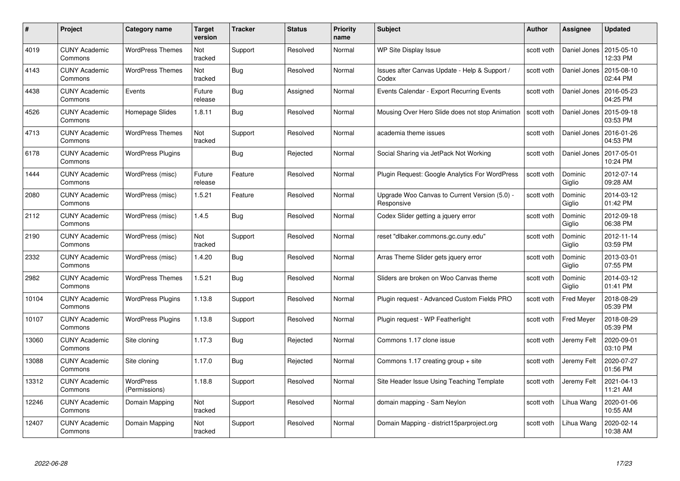| #     | Project                         | <b>Category name</b>       | Target<br>version | <b>Tracker</b> | <b>Status</b> | <b>Priority</b><br>name | <b>Subject</b>                                              | Author     | <b>Assignee</b>   | <b>Updated</b>         |
|-------|---------------------------------|----------------------------|-------------------|----------------|---------------|-------------------------|-------------------------------------------------------------|------------|-------------------|------------------------|
| 4019  | <b>CUNY Academic</b><br>Commons | <b>WordPress Themes</b>    | Not<br>tracked    | Support        | Resolved      | Normal                  | <b>WP Site Display Issue</b>                                | scott voth | Daniel Jones      | 2015-05-10<br>12:33 PM |
| 4143  | <b>CUNY Academic</b><br>Commons | <b>WordPress Themes</b>    | Not<br>tracked    | Bug            | Resolved      | Normal                  | Issues after Canvas Update - Help & Support /<br>Codex      | scott voth | Daniel Jones      | 2015-08-10<br>02:44 PM |
| 4438  | <b>CUNY Academic</b><br>Commons | Events                     | Future<br>release | Bug            | Assigned      | Normal                  | Events Calendar - Export Recurring Events                   | scott voth | Daniel Jones      | 2016-05-23<br>04:25 PM |
| 4526  | <b>CUNY Academic</b><br>Commons | Homepage Slides            | 1.8.11            | <b>Bug</b>     | Resolved      | Normal                  | Mousing Over Hero Slide does not stop Animation             | scott voth | Daniel Jones      | 2015-09-18<br>03:53 PM |
| 4713  | <b>CUNY Academic</b><br>Commons | <b>WordPress Themes</b>    | Not<br>tracked    | Support        | Resolved      | Normal                  | academia theme issues                                       | scott voth | Daniel Jones      | 2016-01-26<br>04:53 PM |
| 6178  | <b>CUNY Academic</b><br>Commons | <b>WordPress Plugins</b>   |                   | <b>Bug</b>     | Rejected      | Normal                  | Social Sharing via JetPack Not Working                      | scott voth | Daniel Jones      | 2017-05-01<br>10:24 PM |
| 1444  | <b>CUNY Academic</b><br>Commons | WordPress (misc)           | Future<br>release | Feature        | Resolved      | Normal                  | Plugin Request: Google Analytics For WordPress              | scott voth | Dominic<br>Giglio | 2012-07-14<br>09:28 AM |
| 2080  | <b>CUNY Academic</b><br>Commons | WordPress (misc)           | 1.5.21            | Feature        | Resolved      | Normal                  | Upgrade Woo Canvas to Current Version (5.0) -<br>Responsive | scott voth | Dominic<br>Giglio | 2014-03-12<br>01:42 PM |
| 2112  | <b>CUNY Academic</b><br>Commons | WordPress (misc)           | 1.4.5             | Bug            | Resolved      | Normal                  | Codex Slider getting a jquery error                         | scott voth | Dominic<br>Giglio | 2012-09-18<br>06:38 PM |
| 2190  | <b>CUNY Academic</b><br>Commons | WordPress (misc)           | Not<br>tracked    | Support        | Resolved      | Normal                  | reset "dlbaker.commons.gc.cuny.edu"                         | scott voth | Dominic<br>Giglio | 2012-11-14<br>03:59 PM |
| 2332  | <b>CUNY Academic</b><br>Commons | WordPress (misc)           | 1.4.20            | <b>Bug</b>     | Resolved      | Normal                  | Arras Theme Slider gets jquery error                        | scott voth | Dominic<br>Giglio | 2013-03-01<br>07:55 PM |
| 2982  | <b>CUNY Academic</b><br>Commons | <b>WordPress Themes</b>    | 1.5.21            | Bug            | Resolved      | Normal                  | Sliders are broken on Woo Canvas theme                      | scott voth | Dominic<br>Giglio | 2014-03-12<br>01:41 PM |
| 10104 | <b>CUNY Academic</b><br>Commons | <b>WordPress Plugins</b>   | 1.13.8            | Support        | Resolved      | Normal                  | Plugin request - Advanced Custom Fields PRO                 | scott voth | <b>Fred Meyer</b> | 2018-08-29<br>05:39 PM |
| 10107 | <b>CUNY Academic</b><br>Commons | <b>WordPress Plugins</b>   | 1.13.8            | Support        | Resolved      | Normal                  | Plugin request - WP Featherlight                            | scott voth | <b>Fred Meyer</b> | 2018-08-29<br>05:39 PM |
| 13060 | <b>CUNY Academic</b><br>Commons | Site cloning               | 1.17.3            | Bug            | Rejected      | Normal                  | Commons 1.17 clone issue                                    | scott voth | Jeremy Felt       | 2020-09-01<br>03:10 PM |
| 13088 | <b>CUNY Academic</b><br>Commons | Site cloning               | 1.17.0            | Bug            | Rejected      | Normal                  | Commons 1.17 creating group $+$ site                        | scott voth | Jeremy Felt       | 2020-07-27<br>01:56 PM |
| 13312 | <b>CUNY Academic</b><br>Commons | WordPress<br>(Permissions) | 1.18.8            | Support        | Resolved      | Normal                  | Site Header Issue Using Teaching Template                   | scott voth | Jeremy Felt       | 2021-04-13<br>11:21 AM |
| 12246 | <b>CUNY Academic</b><br>Commons | Domain Mapping             | Not<br>tracked    | Support        | Resolved      | Normal                  | domain mapping - Sam Neylon                                 | scott voth | Lihua Wang        | 2020-01-06<br>10:55 AM |
| 12407 | CUNY Academic<br>Commons        | Domain Mapping             | Not<br>tracked    | Support        | Resolved      | Normal                  | Domain Mapping - district15parproject.org                   | scott voth | Lihua Wang        | 2020-02-14<br>10:38 AM |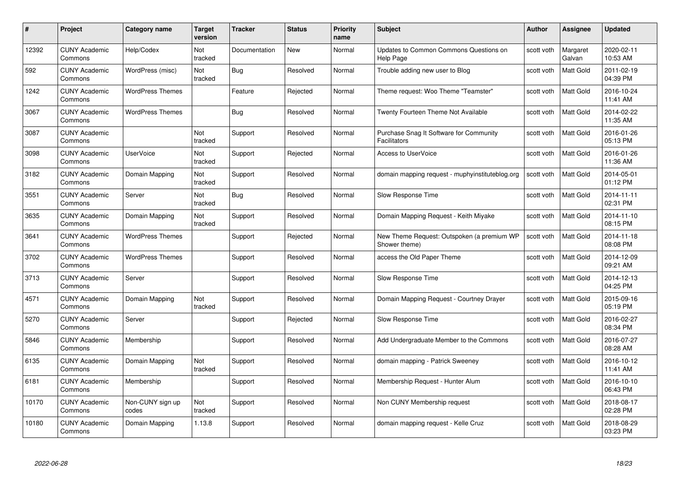| #     | Project                         | <b>Category name</b>      | Target<br>version     | <b>Tracker</b> | <b>Status</b> | <b>Priority</b><br>name | <b>Subject</b>                                                 | <b>Author</b> | <b>Assignee</b>    | <b>Updated</b>         |
|-------|---------------------------------|---------------------------|-----------------------|----------------|---------------|-------------------------|----------------------------------------------------------------|---------------|--------------------|------------------------|
| 12392 | <b>CUNY Academic</b><br>Commons | Help/Codex                | <b>Not</b><br>tracked | Documentation  | <b>New</b>    | Normal                  | Updates to Common Commons Questions on<br><b>Help Page</b>     | scott voth    | Margaret<br>Galvan | 2020-02-11<br>10:53 AM |
| 592   | <b>CUNY Academic</b><br>Commons | WordPress (misc)          | Not<br>tracked        | Bug            | Resolved      | Normal                  | Trouble adding new user to Blog                                | scott voth    | Matt Gold          | 2011-02-19<br>04:39 PM |
| 1242  | <b>CUNY Academic</b><br>Commons | <b>WordPress Themes</b>   |                       | Feature        | Rejected      | Normal                  | Theme request: Woo Theme "Teamster"                            | scott voth    | <b>Matt Gold</b>   | 2016-10-24<br>11:41 AM |
| 3067  | <b>CUNY Academic</b><br>Commons | <b>WordPress Themes</b>   |                       | <b>Bug</b>     | Resolved      | Normal                  | Twenty Fourteen Theme Not Available                            | scott voth    | <b>Matt Gold</b>   | 2014-02-22<br>11:35 AM |
| 3087  | CUNY Academic<br>Commons        |                           | Not<br>tracked        | Support        | Resolved      | Normal                  | Purchase Snag It Software for Community<br><b>Facilitators</b> | scott voth    | <b>Matt Gold</b>   | 2016-01-26<br>05:13 PM |
| 3098  | <b>CUNY Academic</b><br>Commons | <b>UserVoice</b>          | Not<br>tracked        | Support        | Rejected      | Normal                  | <b>Access to UserVoice</b>                                     | scott voth    | Matt Gold          | 2016-01-26<br>11:36 AM |
| 3182  | <b>CUNY Academic</b><br>Commons | Domain Mapping            | Not<br>tracked        | Support        | Resolved      | Normal                  | domain mapping request - muphyinstituteblog.org                | scott voth    | <b>Matt Gold</b>   | 2014-05-01<br>01:12 PM |
| 3551  | <b>CUNY Academic</b><br>Commons | Server                    | Not<br>tracked        | <b>Bug</b>     | Resolved      | Normal                  | Slow Response Time                                             | scott voth    | <b>Matt Gold</b>   | 2014-11-11<br>02:31 PM |
| 3635  | <b>CUNY Academic</b><br>Commons | Domain Mapping            | Not<br>tracked        | Support        | Resolved      | Normal                  | Domain Mapping Request - Keith Miyake                          | scott voth    | <b>Matt Gold</b>   | 2014-11-10<br>08:15 PM |
| 3641  | <b>CUNY Academic</b><br>Commons | <b>WordPress Themes</b>   |                       | Support        | Rejected      | Normal                  | New Theme Request: Outspoken (a premium WP<br>Shower theme)    | scott voth    | <b>Matt Gold</b>   | 2014-11-18<br>08:08 PM |
| 3702  | CUNY Academic<br>Commons        | <b>WordPress Themes</b>   |                       | Support        | Resolved      | Normal                  | access the Old Paper Theme                                     | scott voth    | Matt Gold          | 2014-12-09<br>09:21 AM |
| 3713  | <b>CUNY Academic</b><br>Commons | Server                    |                       | Support        | Resolved      | Normal                  | Slow Response Time                                             | scott voth    | Matt Gold          | 2014-12-13<br>04:25 PM |
| 4571  | <b>CUNY Academic</b><br>Commons | Domain Mapping            | Not<br>tracked        | Support        | Resolved      | Normal                  | Domain Mapping Request - Courtney Drayer                       | scott voth    | <b>Matt Gold</b>   | 2015-09-16<br>05:19 PM |
| 5270  | <b>CUNY Academic</b><br>Commons | Server                    |                       | Support        | Rejected      | Normal                  | Slow Response Time                                             | scott voth    | Matt Gold          | 2016-02-27<br>08:34 PM |
| 5846  | <b>CUNY Academic</b><br>Commons | Membership                |                       | Support        | Resolved      | Normal                  | Add Undergraduate Member to the Commons                        | scott voth    | Matt Gold          | 2016-07-27<br>08:28 AM |
| 6135  | <b>CUNY Academic</b><br>Commons | Domain Mapping            | Not<br>tracked        | Support        | Resolved      | Normal                  | domain mapping - Patrick Sweeney                               | scott voth    | <b>Matt Gold</b>   | 2016-10-12<br>11:41 AM |
| 6181  | <b>CUNY Academic</b><br>Commons | Membership                |                       | Support        | Resolved      | Normal                  | Membership Request - Hunter Alum                               | scott voth    | Matt Gold          | 2016-10-10<br>06:43 PM |
| 10170 | <b>CUNY Academic</b><br>Commons | Non-CUNY sign up<br>codes | Not<br>tracked        | Support        | Resolved      | Normal                  | Non CUNY Membership request                                    | scott voth    | Matt Gold          | 2018-08-17<br>02:28 PM |
| 10180 | CUNY Academic<br>Commons        | Domain Mapping            | 1.13.8                | Support        | Resolved      | Normal                  | domain mapping request - Kelle Cruz                            | scott voth    | Matt Gold          | 2018-08-29<br>03:23 PM |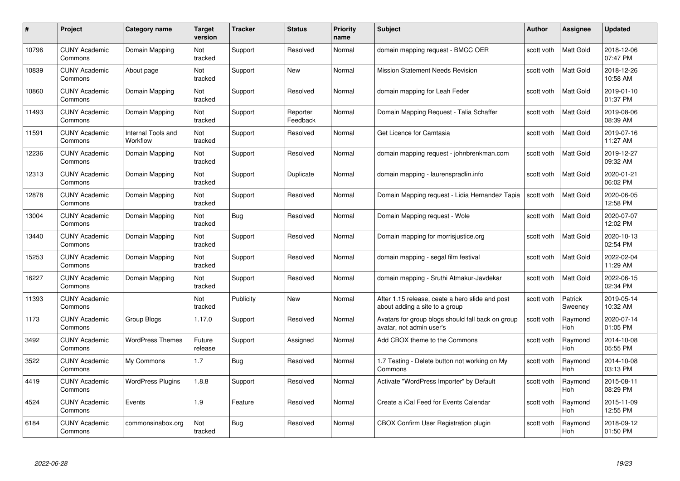| #     | Project                         | Category name                  | Target<br>version | <b>Tracker</b> | <b>Status</b>        | <b>Priority</b><br>name | <b>Subject</b>                                                                    | <b>Author</b> | <b>Assignee</b>       | <b>Updated</b>         |
|-------|---------------------------------|--------------------------------|-------------------|----------------|----------------------|-------------------------|-----------------------------------------------------------------------------------|---------------|-----------------------|------------------------|
| 10796 | <b>CUNY Academic</b><br>Commons | Domain Mapping                 | Not<br>tracked    | Support        | Resolved             | Normal                  | domain mapping request - BMCC OER                                                 | scott voth    | <b>Matt Gold</b>      | 2018-12-06<br>07:47 PM |
| 10839 | <b>CUNY Academic</b><br>Commons | About page                     | Not<br>tracked    | Support        | New                  | Normal                  | <b>Mission Statement Needs Revision</b>                                           | scott voth    | Matt Gold             | 2018-12-26<br>10:58 AM |
| 10860 | <b>CUNY Academic</b><br>Commons | Domain Mapping                 | Not<br>tracked    | Support        | Resolved             | Normal                  | domain mapping for Leah Feder                                                     | scott voth    | Matt Gold             | 2019-01-10<br>01:37 PM |
| 11493 | <b>CUNY Academic</b><br>Commons | Domain Mapping                 | Not<br>tracked    | Support        | Reporter<br>Feedback | Normal                  | Domain Mapping Request - Talia Schaffer                                           | scott voth    | Matt Gold             | 2019-08-06<br>08:39 AM |
| 11591 | <b>CUNY Academic</b><br>Commons | Internal Tools and<br>Workflow | Not<br>tracked    | Support        | Resolved             | Normal                  | Get Licence for Camtasia                                                          | scott voth    | Matt Gold             | 2019-07-16<br>11:27 AM |
| 12236 | <b>CUNY Academic</b><br>Commons | Domain Mapping                 | Not<br>tracked    | Support        | Resolved             | Normal                  | domain mapping request - johnbrenkman.com                                         | scott voth    | Matt Gold             | 2019-12-27<br>09:32 AM |
| 12313 | <b>CUNY Academic</b><br>Commons | Domain Mapping                 | Not<br>tracked    | Support        | Duplicate            | Normal                  | domain mapping - laurenspradlin.info                                              | scott voth    | Matt Gold             | 2020-01-21<br>06:02 PM |
| 12878 | <b>CUNY Academic</b><br>Commons | Domain Mapping                 | Not<br>tracked    | Support        | Resolved             | Normal                  | Domain Mapping request - Lidia Hernandez Tapia                                    | scott voth    | Matt Gold             | 2020-06-05<br>12:58 PM |
| 13004 | <b>CUNY Academic</b><br>Commons | Domain Mapping                 | Not<br>tracked    | Bug            | Resolved             | Normal                  | Domain Mapping request - Wole                                                     | scott voth    | Matt Gold             | 2020-07-07<br>12:02 PM |
| 13440 | <b>CUNY Academic</b><br>Commons | Domain Mapping                 | Not<br>tracked    | Support        | Resolved             | Normal                  | Domain mapping for morrisjustice.org                                              | scott voth    | Matt Gold             | 2020-10-13<br>02:54 PM |
| 15253 | <b>CUNY Academic</b><br>Commons | Domain Mapping                 | Not<br>tracked    | Support        | Resolved             | Normal                  | domain mapping - segal film festival                                              | scott voth    | Matt Gold             | 2022-02-04<br>11:29 AM |
| 16227 | <b>CUNY Academic</b><br>Commons | Domain Mapping                 | Not<br>tracked    | Support        | Resolved             | Normal                  | domain mapping - Sruthi Atmakur-Javdekar                                          | scott voth    | Matt Gold             | 2022-06-15<br>02:34 PM |
| 11393 | <b>CUNY Academic</b><br>Commons |                                | Not<br>tracked    | Publicity      | <b>New</b>           | Normal                  | After 1.15 release, ceate a hero slide and post<br>about adding a site to a group | scott voth    | Patrick<br>Sweeney    | 2019-05-14<br>10:32 AM |
| 1173  | <b>CUNY Academic</b><br>Commons | Group Blogs                    | 1.17.0            | Support        | Resolved             | Normal                  | Avatars for group blogs should fall back on group<br>avatar, not admin user's     | scott voth    | Raymond<br>Hoh        | 2020-07-14<br>01:05 PM |
| 3492  | <b>CUNY Academic</b><br>Commons | <b>WordPress Themes</b>        | Future<br>release | Support        | Assigned             | Normal                  | Add CBOX theme to the Commons                                                     | scott voth    | Raymond<br><b>Hoh</b> | 2014-10-08<br>05:55 PM |
| 3522  | <b>CUNY Academic</b><br>Commons | My Commons                     | 1.7               | Bug            | Resolved             | Normal                  | 1.7 Testing - Delete button not working on My<br>Commons                          | scott voth    | Raymond<br><b>Hoh</b> | 2014-10-08<br>03:13 PM |
| 4419  | <b>CUNY Academic</b><br>Commons | <b>WordPress Plugins</b>       | 1.8.8             | Support        | Resolved             | Normal                  | Activate "WordPress Importer" by Default                                          | scott voth    | Raymond<br><b>Hoh</b> | 2015-08-11<br>08:29 PM |
| 4524  | <b>CUNY Academic</b><br>Commons | Events                         | 1.9               | Feature        | Resolved             | Normal                  | Create a iCal Feed for Events Calendar                                            | scott voth    | Raymond<br>Hoh        | 2015-11-09<br>12:55 PM |
| 6184  | CUNY Academic<br>Commons        | commonsinabox.org              | Not<br>tracked    | <b>Bug</b>     | Resolved             | Normal                  | CBOX Confirm User Registration plugin                                             | scott voth    | Raymond<br>Hoh        | 2018-09-12<br>01:50 PM |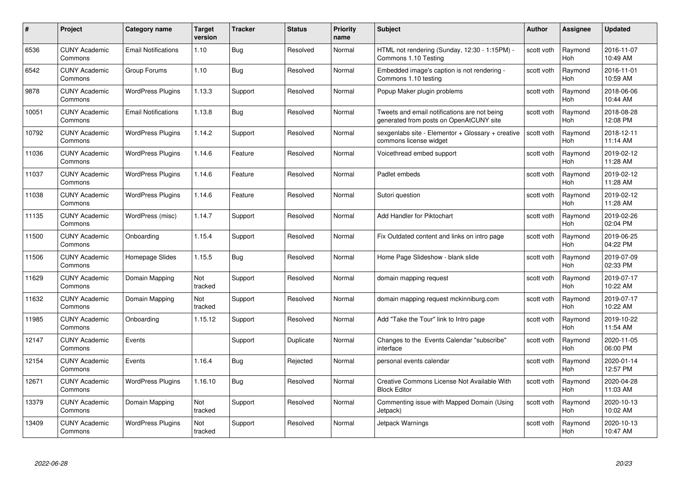| #     | Project                         | <b>Category name</b>       | <b>Target</b><br>version | <b>Tracker</b> | <b>Status</b> | <b>Priority</b><br>name | <b>Subject</b>                                                                          | <b>Author</b> | Assignee              | <b>Updated</b>         |
|-------|---------------------------------|----------------------------|--------------------------|----------------|---------------|-------------------------|-----------------------------------------------------------------------------------------|---------------|-----------------------|------------------------|
| 6536  | <b>CUNY Academic</b><br>Commons | <b>Email Notifications</b> | 1.10                     | Bug            | Resolved      | Normal                  | HTML not rendering (Sunday, 12:30 - 1:15PM) -<br>Commons 1.10 Testing                   | scott voth    | Raymond<br>Hoh        | 2016-11-07<br>10:49 AM |
| 6542  | <b>CUNY Academic</b><br>Commons | Group Forums               | 1.10                     | Bug            | Resolved      | Normal                  | Embedded image's caption is not rendering -<br>Commons 1.10 testing                     | scott voth    | Raymond<br><b>Hoh</b> | 2016-11-01<br>10:59 AM |
| 9878  | <b>CUNY Academic</b><br>Commons | <b>WordPress Plugins</b>   | 1.13.3                   | Support        | Resolved      | Normal                  | Popup Maker plugin problems                                                             | scott voth    | Raymond<br>Hoh        | 2018-06-06<br>10:44 AM |
| 10051 | <b>CUNY Academic</b><br>Commons | <b>Email Notifications</b> | 1.13.8                   | <b>Bug</b>     | Resolved      | Normal                  | Tweets and email notifications are not being<br>generated from posts on OpenAtCUNY site | scott voth    | Raymond<br>Hoh        | 2018-08-28<br>12:08 PM |
| 10792 | <b>CUNY Academic</b><br>Commons | <b>WordPress Plugins</b>   | 1.14.2                   | Support        | Resolved      | Normal                  | sexgenlabs site - Elementor + Glossary + creative<br>commons license widget             | scott voth    | Raymond<br><b>Hoh</b> | 2018-12-11<br>11:14 AM |
| 11036 | <b>CUNY Academic</b><br>Commons | <b>WordPress Plugins</b>   | 1.14.6                   | Feature        | Resolved      | Normal                  | Voicethread embed support                                                               | scott voth    | Raymond<br>Hoh        | 2019-02-12<br>11:28 AM |
| 11037 | <b>CUNY Academic</b><br>Commons | <b>WordPress Plugins</b>   | 1.14.6                   | Feature        | Resolved      | Normal                  | Padlet embeds                                                                           | scott voth    | Raymond<br>Hoh        | 2019-02-12<br>11:28 AM |
| 11038 | <b>CUNY Academic</b><br>Commons | <b>WordPress Plugins</b>   | 1.14.6                   | Feature        | Resolved      | Normal                  | Sutori question                                                                         | scott voth    | Raymond<br><b>Hoh</b> | 2019-02-12<br>11:28 AM |
| 11135 | <b>CUNY Academic</b><br>Commons | WordPress (misc)           | 1.14.7                   | Support        | Resolved      | Normal                  | Add Handler for Piktochart                                                              | scott voth    | Raymond<br>Hoh        | 2019-02-26<br>02:04 PM |
| 11500 | <b>CUNY Academic</b><br>Commons | Onboarding                 | 1.15.4                   | Support        | Resolved      | Normal                  | Fix Outdated content and links on intro page                                            | scott voth    | Raymond<br><b>Hoh</b> | 2019-06-25<br>04:22 PM |
| 11506 | CUNY Academic<br>Commons        | Homepage Slides            | 1.15.5                   | Bug            | Resolved      | Normal                  | Home Page Slideshow - blank slide                                                       | scott voth    | Raymond<br>Hoh        | 2019-07-09<br>02:33 PM |
| 11629 | <b>CUNY Academic</b><br>Commons | Domain Mapping             | Not<br>tracked           | Support        | Resolved      | Normal                  | domain mapping request                                                                  | scott voth    | Raymond<br><b>Hoh</b> | 2019-07-17<br>10:22 AM |
| 11632 | <b>CUNY Academic</b><br>Commons | Domain Mapping             | Not<br>tracked           | Support        | Resolved      | Normal                  | domain mapping request mckinniburg.com                                                  | scott voth    | Raymond<br>Hoh        | 2019-07-17<br>10:22 AM |
| 11985 | <b>CUNY Academic</b><br>Commons | Onboarding                 | 1.15.12                  | Support        | Resolved      | Normal                  | Add "Take the Tour" link to Intro page                                                  | scott voth    | Raymond<br><b>Hoh</b> | 2019-10-22<br>11:54 AM |
| 12147 | <b>CUNY Academic</b><br>Commons | Events                     |                          | Support        | Duplicate     | Normal                  | Changes to the Events Calendar "subscribe"<br>interface                                 | scott voth    | Raymond<br><b>Hoh</b> | 2020-11-05<br>06:00 PM |
| 12154 | <b>CUNY Academic</b><br>Commons | Events                     | 1.16.4                   | <b>Bug</b>     | Rejected      | Normal                  | personal events calendar                                                                | scott voth    | Raymond<br>Hoh        | 2020-01-14<br>12:57 PM |
| 12671 | <b>CUNY Academic</b><br>Commons | <b>WordPress Plugins</b>   | 1.16.10                  | <b>Bug</b>     | Resolved      | Normal                  | Creative Commons License Not Available With<br><b>Block Editor</b>                      | scott voth    | Raymond<br><b>Hoh</b> | 2020-04-28<br>11:03 AM |
| 13379 | <b>CUNY Academic</b><br>Commons | Domain Mapping             | Not<br>tracked           | Support        | Resolved      | Normal                  | Commenting issue with Mapped Domain (Using<br>Jetpack)                                  | scott voth    | Raymond<br><b>Hoh</b> | 2020-10-13<br>10:02 AM |
| 13409 | <b>CUNY Academic</b><br>Commons | <b>WordPress Plugins</b>   | Not<br>tracked           | Support        | Resolved      | Normal                  | Jetpack Warnings                                                                        | scott voth    | Raymond<br>Hoh        | 2020-10-13<br>10:47 AM |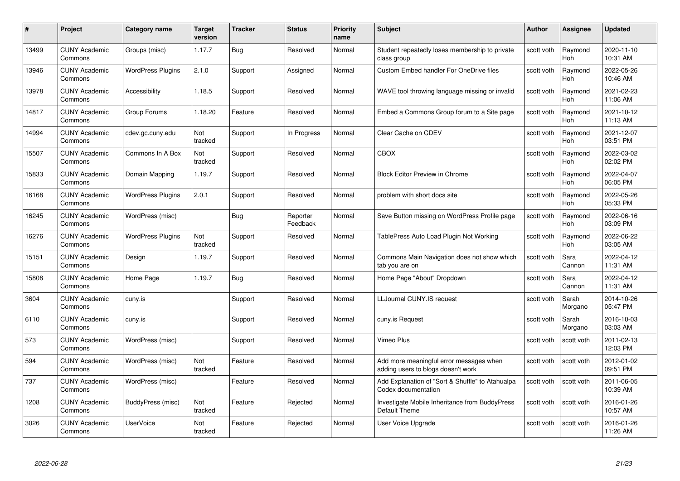| #     | Project                         | <b>Category name</b>     | Target<br>version     | <b>Tracker</b> | <b>Status</b>        | <b>Priority</b><br>name | <b>Subject</b>                                                                | <b>Author</b> | <b>Assignee</b>       | <b>Updated</b>         |
|-------|---------------------------------|--------------------------|-----------------------|----------------|----------------------|-------------------------|-------------------------------------------------------------------------------|---------------|-----------------------|------------------------|
| 13499 | <b>CUNY Academic</b><br>Commons | Groups (misc)            | 1.17.7                | Bug            | Resolved             | Normal                  | Student repeatedly loses membership to private<br>class group                 | scott voth    | Raymond<br>Hoh        | 2020-11-10<br>10:31 AM |
| 13946 | <b>CUNY Academic</b><br>Commons | <b>WordPress Plugins</b> | 2.1.0                 | Support        | Assigned             | Normal                  | <b>Custom Embed handler For OneDrive files</b>                                | scott voth    | Raymond<br><b>Hoh</b> | 2022-05-26<br>10:46 AM |
| 13978 | <b>CUNY Academic</b><br>Commons | Accessibility            | 1.18.5                | Support        | Resolved             | Normal                  | WAVE tool throwing language missing or invalid                                | scott voth    | Raymond<br>Hoh        | 2021-02-23<br>11:06 AM |
| 14817 | <b>CUNY Academic</b><br>Commons | Group Forums             | 1.18.20               | Feature        | Resolved             | Normal                  | Embed a Commons Group forum to a Site page                                    | scott voth    | Raymond<br><b>Hoh</b> | 2021-10-12<br>11:13 AM |
| 14994 | <b>CUNY Academic</b><br>Commons | cdev.gc.cuny.edu         | <b>Not</b><br>tracked | Support        | In Progress          | Normal                  | Clear Cache on CDEV                                                           | scott voth    | Raymond<br>Hoh        | 2021-12-07<br>03:51 PM |
| 15507 | <b>CUNY Academic</b><br>Commons | Commons In A Box         | Not<br>tracked        | Support        | Resolved             | Normal                  | <b>CBOX</b>                                                                   | scott voth    | Raymond<br>Hoh        | 2022-03-02<br>02:02 PM |
| 15833 | <b>CUNY Academic</b><br>Commons | Domain Mapping           | 1.19.7                | Support        | Resolved             | Normal                  | <b>Block Editor Preview in Chrome</b>                                         | scott voth    | Raymond<br>Hoh        | 2022-04-07<br>06:05 PM |
| 16168 | <b>CUNY Academic</b><br>Commons | <b>WordPress Plugins</b> | 2.0.1                 | Support        | Resolved             | Normal                  | problem with short docs site                                                  | scott voth    | Raymond<br>Hoh        | 2022-05-26<br>05:33 PM |
| 16245 | <b>CUNY Academic</b><br>Commons | WordPress (misc)         |                       | Bug            | Reporter<br>Feedback | Normal                  | Save Button missing on WordPress Profile page                                 | scott voth    | Raymond<br><b>Hoh</b> | 2022-06-16<br>03:09 PM |
| 16276 | <b>CUNY Academic</b><br>Commons | <b>WordPress Plugins</b> | Not<br>tracked        | Support        | Resolved             | Normal                  | TablePress Auto Load Plugin Not Working                                       | scott voth    | Raymond<br>Hoh        | 2022-06-22<br>03:05 AM |
| 15151 | <b>CUNY Academic</b><br>Commons | Design                   | 1.19.7                | Support        | Resolved             | Normal                  | Commons Main Navigation does not show which<br>tab you are on                 | scott voth    | Sara<br>Cannon        | 2022-04-12<br>11:31 AM |
| 15808 | <b>CUNY Academic</b><br>Commons | Home Page                | 1.19.7                | Bug            | Resolved             | Normal                  | Home Page "About" Dropdown                                                    | scott voth    | Sara<br>Cannon        | 2022-04-12<br>11:31 AM |
| 3604  | <b>CUNY Academic</b><br>Commons | cuny.is                  |                       | Support        | Resolved             | Normal                  | LLJournal CUNY.IS request                                                     | scott voth    | Sarah<br>Morgano      | 2014-10-26<br>05:47 PM |
| 6110  | <b>CUNY Academic</b><br>Commons | cuny.is                  |                       | Support        | Resolved             | Normal                  | cuny.is Request                                                               | scott voth    | Sarah<br>Morgano      | 2016-10-03<br>03:03 AM |
| 573   | <b>CUNY Academic</b><br>Commons | WordPress (misc)         |                       | Support        | Resolved             | Normal                  | Vimeo Plus                                                                    | scott voth    | scott voth            | 2011-02-13<br>12:03 PM |
| 594   | <b>CUNY Academic</b><br>Commons | WordPress (misc)         | Not<br>tracked        | Feature        | Resolved             | Normal                  | Add more meaningful error messages when<br>adding users to blogs doesn't work | scott voth    | scott voth            | 2012-01-02<br>09:51 PM |
| 737   | <b>CUNY Academic</b><br>Commons | WordPress (misc)         |                       | Feature        | Resolved             | Normal                  | Add Explanation of "Sort & Shuffle" to Atahualpa<br>Codex documentation       | scott voth    | scott voth            | 2011-06-05<br>10:39 AM |
| 1208  | <b>CUNY Academic</b><br>Commons | BuddyPress (misc)        | Not<br>tracked        | Feature        | Rejected             | Normal                  | Investigate Mobile Inheritance from BuddyPress<br>Default Theme               | scott voth    | scott voth            | 2016-01-26<br>10:57 AM |
| 3026  | <b>CUNY Academic</b><br>Commons | <b>UserVoice</b>         | Not<br>tracked        | Feature        | Rejected             | Normal                  | User Voice Upgrade                                                            | scott voth    | scott voth            | 2016-01-26<br>11:26 AM |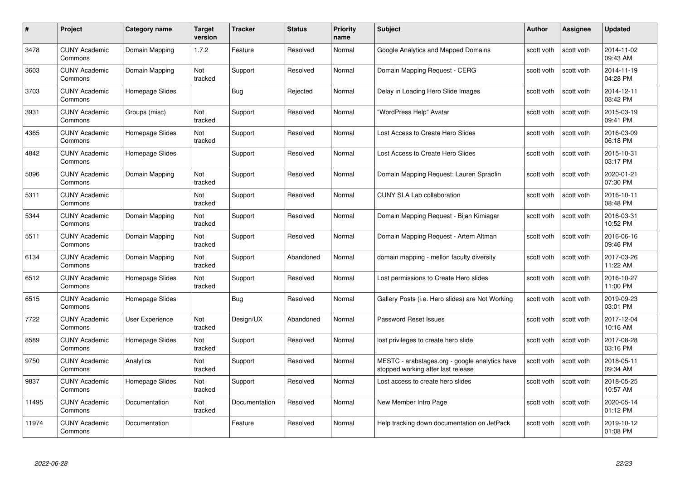| #     | Project                         | Category name   | Target<br>version | <b>Tracker</b> | <b>Status</b> | <b>Priority</b><br>name | <b>Subject</b>                                                                       | <b>Author</b> | <b>Assignee</b> | <b>Updated</b>         |
|-------|---------------------------------|-----------------|-------------------|----------------|---------------|-------------------------|--------------------------------------------------------------------------------------|---------------|-----------------|------------------------|
| 3478  | <b>CUNY Academic</b><br>Commons | Domain Mapping  | 1.7.2             | Feature        | Resolved      | Normal                  | Google Analytics and Mapped Domains                                                  | scott voth    | scott voth      | 2014-11-02<br>09:43 AM |
| 3603  | <b>CUNY Academic</b><br>Commons | Domain Mapping  | Not<br>tracked    | Support        | Resolved      | Normal                  | Domain Mapping Request - CERG                                                        | scott voth    | scott voth      | 2014-11-19<br>04:28 PM |
| 3703  | CUNY Academic<br>Commons        | Homepage Slides |                   | <b>Bug</b>     | Rejected      | Normal                  | Delay in Loading Hero Slide Images                                                   | scott voth    | scott voth      | 2014-12-11<br>08:42 PM |
| 3931  | <b>CUNY Academic</b><br>Commons | Groups (misc)   | Not<br>tracked    | Support        | Resolved      | Normal                  | "WordPress Help" Avatar                                                              | scott voth    | scott voth      | 2015-03-19<br>09:41 PM |
| 4365  | <b>CUNY Academic</b><br>Commons | Homepage Slides | Not<br>tracked    | Support        | Resolved      | Normal                  | Lost Access to Create Hero Slides                                                    | scott voth    | scott voth      | 2016-03-09<br>06:18 PM |
| 4842  | <b>CUNY Academic</b><br>Commons | Homepage Slides |                   | Support        | Resolved      | Normal                  | Lost Access to Create Hero Slides                                                    | scott voth    | scott voth      | 2015-10-31<br>03:17 PM |
| 5096  | <b>CUNY Academic</b><br>Commons | Domain Mapping  | Not<br>tracked    | Support        | Resolved      | Normal                  | Domain Mapping Request: Lauren Spradlin                                              | scott voth    | scott voth      | 2020-01-21<br>07:30 PM |
| 5311  | <b>CUNY Academic</b><br>Commons |                 | Not<br>tracked    | Support        | Resolved      | Normal                  | <b>CUNY SLA Lab collaboration</b>                                                    | scott voth    | scott voth      | 2016-10-11<br>08:48 PM |
| 5344  | <b>CUNY Academic</b><br>Commons | Domain Mapping  | Not<br>tracked    | Support        | Resolved      | Normal                  | Domain Mapping Request - Bijan Kimiagar                                              | scott voth    | scott voth      | 2016-03-31<br>10:52 PM |
| 5511  | <b>CUNY Academic</b><br>Commons | Domain Mapping  | Not<br>tracked    | Support        | Resolved      | Normal                  | Domain Mapping Request - Artem Altman                                                | scott voth    | scott voth      | 2016-06-16<br>09:46 PM |
| 6134  | <b>CUNY Academic</b><br>Commons | Domain Mapping  | Not<br>tracked    | Support        | Abandoned     | Normal                  | domain mapping - mellon faculty diversity                                            | scott voth    | scott voth      | 2017-03-26<br>11:22 AM |
| 6512  | <b>CUNY Academic</b><br>Commons | Homepage Slides | Not<br>tracked    | Support        | Resolved      | Normal                  | Lost permissions to Create Hero slides                                               | scott voth    | scott voth      | 2016-10-27<br>11:00 PM |
| 6515  | <b>CUNY Academic</b><br>Commons | Homepage Slides |                   | <b>Bug</b>     | Resolved      | Normal                  | Gallery Posts (i.e. Hero slides) are Not Working                                     | scott voth    | scott voth      | 2019-09-23<br>03:01 PM |
| 7722  | <b>CUNY Academic</b><br>Commons | User Experience | Not<br>tracked    | Design/UX      | Abandoned     | Normal                  | Password Reset Issues                                                                | scott voth    | scott voth      | 2017-12-04<br>10:16 AM |
| 8589  | <b>CUNY Academic</b><br>Commons | Homepage Slides | Not<br>tracked    | Support        | Resolved      | Normal                  | lost privileges to create hero slide                                                 | scott voth    | scott voth      | 2017-08-28<br>03:16 PM |
| 9750  | <b>CUNY Academic</b><br>Commons | Analytics       | Not<br>tracked    | Support        | Resolved      | Normal                  | MESTC - arabstages.org - google analytics have<br>stopped working after last release | scott voth    | scott voth      | 2018-05-11<br>09:34 AM |
| 9837  | <b>CUNY Academic</b><br>Commons | Homepage Slides | Not<br>tracked    | Support        | Resolved      | Normal                  | Lost access to create hero slides                                                    | scott voth    | scott voth      | 2018-05-25<br>10:57 AM |
| 11495 | <b>CUNY Academic</b><br>Commons | Documentation   | Not<br>tracked    | Documentation  | Resolved      | Normal                  | New Member Intro Page                                                                | scott voth    | scott voth      | 2020-05-14<br>01:12 PM |
| 11974 | CUNY Academic<br>Commons        | Documentation   |                   | Feature        | Resolved      | Normal                  | Help tracking down documentation on JetPack                                          | scott voth    | scott voth      | 2019-10-12<br>01:08 PM |